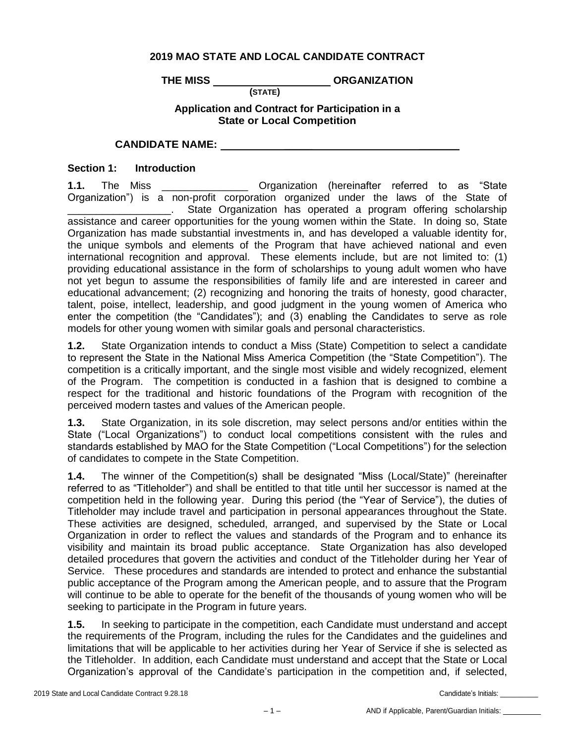## **2019 MAO STATE AND LOCAL CANDIDATE CONTRACT**

THE MISS \_\_\_\_\_\_\_\_\_\_\_\_\_\_\_\_\_\_\_\_\_\_\_\_\_\_ORGANIZATION

## **Application and Contract for Participation in a State or Local Competition**

**(STATE)**

**CANDIDATE NAME:** \_\_\_\_\_ \_\_\_\_\_\_\_

**Section 1: Introduction**

**1.1.** The Miss \_\_\_\_\_\_\_\_\_\_\_\_\_\_\_ Organization (hereinafter referred to as "State Organization") is a non-profit corporation organized under the laws of the State of \_\_\_\_\_\_\_\_\_\_\_\_\_\_\_\_\_\_. State Organization has operated a program offering scholarship assistance and career opportunities for the young women within the State. In doing so, State Organization has made substantial investments in, and has developed a valuable identity for, the unique symbols and elements of the Program that have achieved national and even international recognition and approval. These elements include, but are not limited to: (1) providing educational assistance in the form of scholarships to young adult women who have not yet begun to assume the responsibilities of family life and are interested in career and educational advancement; (2) recognizing and honoring the traits of honesty, good character, talent, poise, intellect, leadership, and good judgment in the young women of America who enter the competition (the "Candidates"); and (3) enabling the Candidates to serve as role models for other young women with similar goals and personal characteristics.

**1.2.** State Organization intends to conduct a Miss (State) Competition to select a candidate to represent the State in the National Miss America Competition (the "State Competition"). The competition is a critically important, and the single most visible and widely recognized, element of the Program. The competition is conducted in a fashion that is designed to combine a respect for the traditional and historic foundations of the Program with recognition of the perceived modern tastes and values of the American people.

**1.3.** State Organization, in its sole discretion, may select persons and/or entities within the State ("Local Organizations") to conduct local competitions consistent with the rules and standards established by MAO for the State Competition ("Local Competitions") for the selection of candidates to compete in the State Competition.

**1.4.** The winner of the Competition(s) shall be designated "Miss (Local/State)" (hereinafter referred to as "Titleholder") and shall be entitled to that title until her successor is named at the competition held in the following year. During this period (the "Year of Service"), the duties of Titleholder may include travel and participation in personal appearances throughout the State. These activities are designed, scheduled, arranged, and supervised by the State or Local Organization in order to reflect the values and standards of the Program and to enhance its visibility and maintain its broad public acceptance. State Organization has also developed detailed procedures that govern the activities and conduct of the Titleholder during her Year of Service. These procedures and standards are intended to protect and enhance the substantial public acceptance of the Program among the American people, and to assure that the Program will continue to be able to operate for the benefit of the thousands of young women who will be seeking to participate in the Program in future years.

**1.5.** In seeking to participate in the competition, each Candidate must understand and accept the requirements of the Program, including the rules for the Candidates and the guidelines and limitations that will be applicable to her activities during her Year of Service if she is selected as the Titleholder. In addition, each Candidate must understand and accept that the State or Local Organization's approval of the Candidate's participation in the competition and, if selected,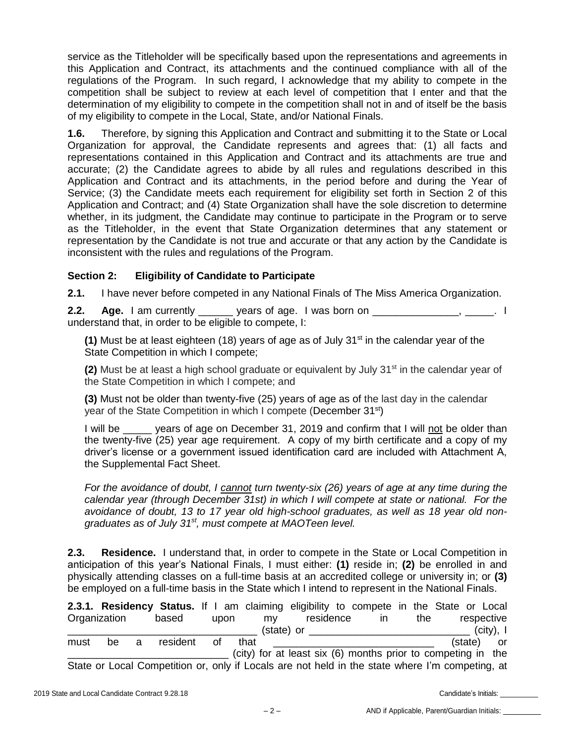service as the Titleholder will be specifically based upon the representations and agreements in this Application and Contract, its attachments and the continued compliance with all of the regulations of the Program. In such regard, I acknowledge that my ability to compete in the competition shall be subject to review at each level of competition that I enter and that the determination of my eligibility to compete in the competition shall not in and of itself be the basis of my eligibility to compete in the Local, State, and/or National Finals.

**1.6.** Therefore, by signing this Application and Contract and submitting it to the State or Local Organization for approval, the Candidate represents and agrees that: (1) all facts and representations contained in this Application and Contract and its attachments are true and accurate; (2) the Candidate agrees to abide by all rules and regulations described in this Application and Contract and its attachments, in the period before and during the Year of Service; (3) the Candidate meets each requirement for eligibility set forth in Section 2 of this Application and Contract; and (4) State Organization shall have the sole discretion to determine whether, in its judgment, the Candidate may continue to participate in the Program or to serve as the Titleholder, in the event that State Organization determines that any statement or representation by the Candidate is not true and accurate or that any action by the Candidate is inconsistent with the rules and regulations of the Program.

## **Section 2: Eligibility of Candidate to Participate**

**2.1.** I have never before competed in any National Finals of The Miss America Organization.

**2.2. Age.** I am currently charge years of age. I was born on the same of the same of the same of the same of the same of the same of the same of the same of the same of the same of the same of the same of the same of th understand that, in order to be eligible to compete, I:

**(1)** Must be at least eighteen (18) years of age as of July 31st in the calendar year of the State Competition in which I compete;

**(2)** Must be at least a high school graduate or equivalent by July 31<sup>st</sup> in the calendar year of the State Competition in which I compete; and

**(3)** Must not be older than twenty-five (25) years of age as of the last day in the calendar year of the State Competition in which I compete (December 31<sup>st</sup>)

I will be years of age on December 31, 2019 and confirm that I will not be older than the twenty-five (25) year age requirement. A copy of my birth certificate and a copy of my driver's license or a government issued identification card are included with Attachment A, the Supplemental Fact Sheet.

*For the avoidance of doubt, I cannot turn twenty-six (26) years of age at any time during the calendar year (through December 31st) in which I will compete at state or national. For the avoidance of doubt, 13 to 17 year old high-school graduates, as well as 18 year old nongraduates as of July 31st, must compete at MAOTeen level.*

**2.3. Residence.** I understand that, in order to compete in the State or Local Competition in anticipation of this year's National Finals, I must either: **(1)** reside in; **(2)** be enrolled in and physically attending classes on a full-time basis at an accredited college or university in; or **(3)** be employed on a full-time basis in the State which I intend to represent in the National Finals.

|      |              |   |          |    |      |      |            |           |    |     | 2.3.1. Residency Status. If I am claiming eligibility to compete in the State or Local          |              |
|------|--------------|---|----------|----|------|------|------------|-----------|----|-----|-------------------------------------------------------------------------------------------------|--------------|
|      | Organization |   | based    |    | upon | mv   |            | residence | ın | the |                                                                                                 | respective   |
|      |              |   |          |    |      |      | (state) or |           |    |     |                                                                                                 | $(city)$ , I |
| must | be.          | a | resident | of |      | that |            |           |    |     | (state) or                                                                                      |              |
|      |              |   |          |    |      |      |            |           |    |     | (city) for at least six (6) months prior to competing in the                                    |              |
|      |              |   |          |    |      |      |            |           |    |     | State or Local Competition or, only if Locals are not held in the state where I'm competing, at |              |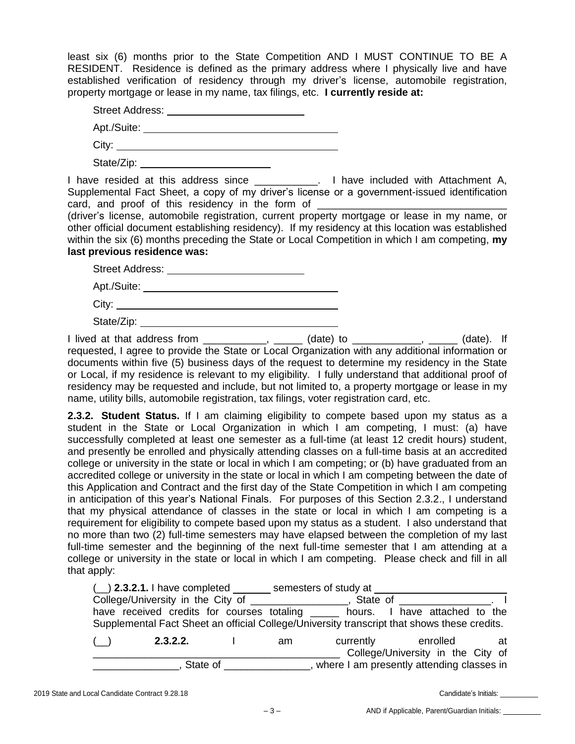least six (6) months prior to the State Competition AND I MUST CONTINUE TO BE A RESIDENT. Residence is defined as the primary address where I physically live and have established verification of residency through my driver's license, automobile registration, property mortgage or lease in my name, tax filings, etc. **I currently reside at:**

| <b>Street Address:</b> |  |
|------------------------|--|
| Apt./Suite:            |  |
| City:                  |  |

State/Zip:

I have resided at this address since \_\_\_\_\_\_\_\_\_\_\_. I have included with Attachment A, Supplemental Fact Sheet, a copy of my driver's license or a government-issued identification card, and proof of this residency in the form of

(driver's license, automobile registration, current property mortgage or lease in my name, or other official document establishing residency). If my residency at this location was established within the six (6) months preceding the State or Local Competition in which I am competing, **my last previous residence was:**

| Apt./Suite: Application                                                                                                                                                                                                        |  |
|--------------------------------------------------------------------------------------------------------------------------------------------------------------------------------------------------------------------------------|--|
| City: the contract of the contract of the contract of the contract of the contract of the contract of the contract of the contract of the contract of the contract of the contract of the contract of the contract of the cont |  |
| State/Zip:                                                                                                                                                                                                                     |  |

I lived at that address from \_\_\_\_\_\_\_\_\_\_\_, \_\_\_\_\_ (date) to \_\_\_\_\_\_\_\_\_\_\_, \_\_\_\_\_ (date). If requested, I agree to provide the State or Local Organization with any additional information or documents within five (5) business days of the request to determine my residency in the State or Local, if my residence is relevant to my eligibility. I fully understand that additional proof of residency may be requested and include, but not limited to, a property mortgage or lease in my name, utility bills, automobile registration, tax filings, voter registration card, etc.

**2.3.2. Student Status.** If I am claiming eligibility to compete based upon my status as a student in the State or Local Organization in which I am competing, I must: (a) have successfully completed at least one semester as a full-time (at least 12 credit hours) student, and presently be enrolled and physically attending classes on a full-time basis at an accredited college or university in the state or local in which I am competing; or (b) have graduated from an accredited college or university in the state or local in which I am competing between the date of this Application and Contract and the first day of the State Competition in which I am competing in anticipation of this year's National Finals. For purposes of this Section 2.3.2., I understand that my physical attendance of classes in the state or local in which I am competing is a requirement for eligibility to compete based upon my status as a student. I also understand that no more than two (2) full-time semesters may have elapsed between the completion of my last full-time semester and the beginning of the next full-time semester that I am attending at a college or university in the state or local in which I am competing. Please check and fill in all that apply:

| $(\_)$ 2.3.2.1. I have completed semesters of study at                                      |  |    |                                           |                                               |    |
|---------------------------------------------------------------------------------------------|--|----|-------------------------------------------|-----------------------------------------------|----|
| College/University in the City of<br>State of <b>State</b> State <b>State</b>               |  |    |                                           |                                               |    |
| have received credits for courses totaling _______ hours. I have attached to the            |  |    |                                           |                                               |    |
| Supplemental Fact Sheet an official College/University transcript that shows these credits. |  |    |                                           |                                               |    |
| 2.3.2.2.<br>(                                                                               |  | am | currently                                 | enrolled<br>College/University in the City of | at |
| State of                                                                                    |  |    | where I am presently attending classes in |                                               |    |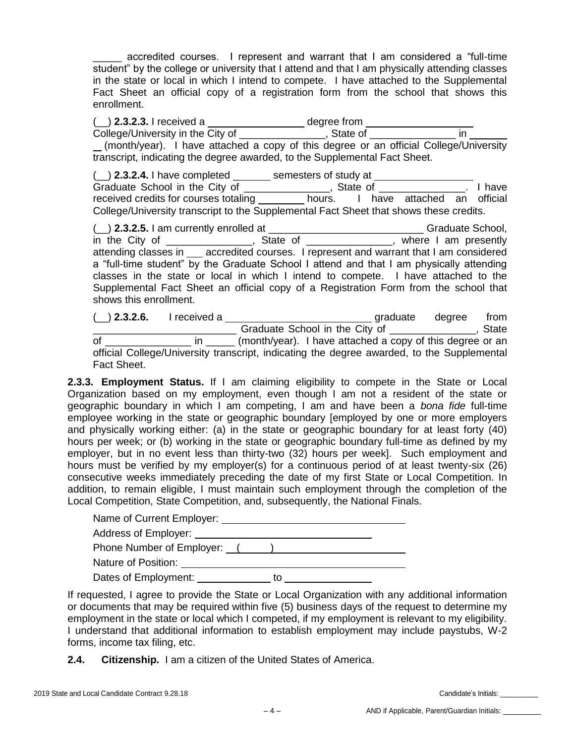\_\_\_\_\_ accredited courses. I represent and warrant that I am considered a "full-time student" by the college or university that I attend and that I am physically attending classes in the state or local in which I intend to compete. I have attached to the Supplemental Fact Sheet an official copy of a registration form from the school that shows this enrollment.

( $\Box$ ) **2.3.2.3.** I received a  $\Box$  degree from College/University in the City of \_\_\_\_\_\_\_\_\_\_\_\_\_\_\_, State of \_\_\_\_\_\_\_\_\_\_\_\_\_\_\_ in (month/year). I have attached a copy of this degree or an official College/University transcript, indicating the degree awarded, to the Supplemental Fact Sheet.

(\_\_) **2.3.2.4.** I have completed \_ semesters of study at Graduate School in the City of \_\_\_\_\_\_\_\_\_\_\_\_\_\_\_, State of \_\_\_\_\_\_\_\_\_\_\_\_\_\_. I have received credits for courses totaling \_\_\_\_\_\_\_\_\_ hours. I have attached an official College/University transcript to the Supplemental Fact Sheet that shows these credits.

(\_\_) **2.3.2.5.** I am currently enrolled at \_\_\_\_\_\_\_\_\_\_\_\_\_\_\_\_\_\_\_\_\_\_\_\_\_\_\_ Graduate School, in the City of \_\_\_\_\_\_\_\_\_\_\_\_\_\_\_, State of \_\_\_\_\_\_\_\_\_\_\_\_\_\_, where I am presently attending classes in \_\_\_ accredited courses. I represent and warrant that I am considered a "full-time student" by the Graduate School I attend and that I am physically attending classes in the state or local in which I intend to compete. I have attached to the Supplemental Fact Sheet an official copy of a Registration Form from the school that shows this enrollment.

(\_\_) **2.3.2.6.** I received a graduate degree from \_\_\_\_\_\_\_\_\_\_\_\_\_\_\_\_\_\_\_\_\_\_\_\_\_ Graduate School in the City of \_\_\_\_\_\_\_\_\_\_\_\_\_\_\_, State of \_\_\_\_\_\_\_\_\_\_\_\_\_\_\_\_\_\_ in \_\_\_\_\_\_ (month/year). I have attached a copy of this degree or an official College/University transcript, indicating the degree awarded, to the Supplemental Fact Sheet.

**2.3.3. Employment Status.** If I am claiming eligibility to compete in the State or Local Organization based on my employment, even though I am not a resident of the state or geographic boundary in which I am competing, I am and have been a *bona fide* full-time employee working in the state or geographic boundary [employed by one or more employers and physically working either: (a) in the state or geographic boundary for at least forty (40) hours per week; or (b) working in the state or geographic boundary full-time as defined by my employer, but in no event less than thirty-two (32) hours per week]. Such employment and hours must be verified by my employer(s) for a continuous period of at least twenty-six (26) consecutive weeks immediately preceding the date of my first State or Local Competition. In addition, to remain eligible, I must maintain such employment through the completion of the Local Competition, State Competition, and, subsequently, the National Finals.

| Name of Current Employer: __ |    |  |
|------------------------------|----|--|
| Address of Employer: ______  |    |  |
| Phone Number of Employer: () |    |  |
| Nature of Position:          |    |  |
| Dates of Employment:         | tΟ |  |

If requested, I agree to provide the State or Local Organization with any additional information or documents that may be required within five (5) business days of the request to determine my employment in the state or local which I competed, if my employment is relevant to my eligibility. I understand that additional information to establish employment may include paystubs, W-2 forms, income tax filing, etc.

**2.4. Citizenship.** I am a citizen of the United States of America.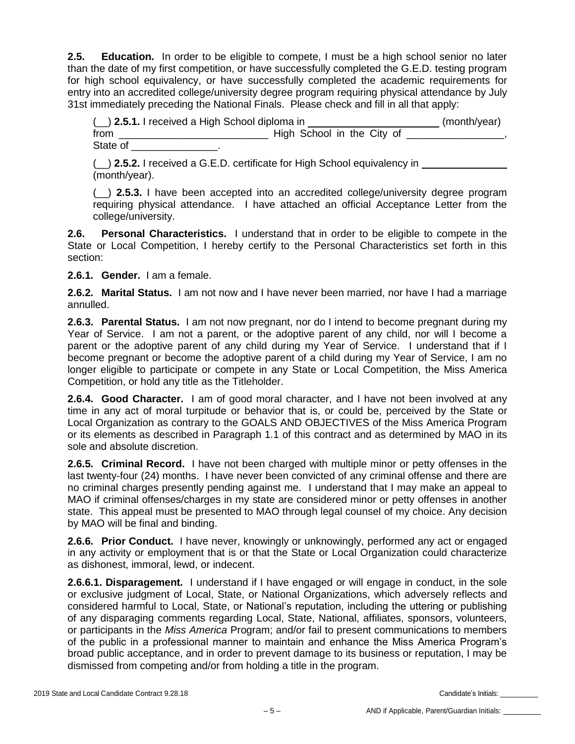**2.5. Education.** In order to be eligible to compete, I must be a high school senior no later than the date of my first competition, or have successfully completed the G.E.D. testing program for high school equivalency, or have successfully completed the academic requirements for entry into an accredited college/university degree program requiring physical attendance by July 31st immediately preceding the National Finals. Please check and fill in all that apply:

| (_) 2.5.1. I received a High School diploma in | (month/year)               |  |
|------------------------------------------------|----------------------------|--|
| from                                           | High School in the City of |  |
| State of                                       |                            |  |

(\_\_) **2.5.2.** I received a G.E.D. certificate for High School equivalency in (month/year).

(\_\_) **2.5.3.** I have been accepted into an accredited college/university degree program requiring physical attendance. I have attached an official Acceptance Letter from the college/university.

**2.6. Personal Characteristics.** I understand that in order to be eligible to compete in the State or Local Competition, I hereby certify to the Personal Characteristics set forth in this section:

**2.6.1. Gender.** I am a female.

**2.6.2. Marital Status.** I am not now and I have never been married, nor have I had a marriage annulled.

**2.6.3. Parental Status.** I am not now pregnant, nor do I intend to become pregnant during my Year of Service. I am not a parent, or the adoptive parent of any child, nor will I become a parent or the adoptive parent of any child during my Year of Service. I understand that if I become pregnant or become the adoptive parent of a child during my Year of Service, I am no longer eligible to participate or compete in any State or Local Competition, the Miss America Competition, or hold any title as the Titleholder.

**2.6.4. Good Character.** I am of good moral character, and I have not been involved at any time in any act of moral turpitude or behavior that is, or could be, perceived by the State or Local Organization as contrary to the GOALS AND OBJECTIVES of the Miss America Program or its elements as described in Paragraph 1.1 of this contract and as determined by MAO in its sole and absolute discretion.

**2.6.5. Criminal Record.** I have not been charged with multiple minor or petty offenses in the last twenty-four (24) months. I have never been convicted of any criminal offense and there are no criminal charges presently pending against me. I understand that I may make an appeal to MAO if criminal offenses/charges in my state are considered minor or petty offenses in another state. This appeal must be presented to MAO through legal counsel of my choice. Any decision by MAO will be final and binding.

**2.6.6. Prior Conduct.** I have never, knowingly or unknowingly, performed any act or engaged in any activity or employment that is or that the State or Local Organization could characterize as dishonest, immoral, lewd, or indecent.

**2.6.6.1. Disparagement.** I understand if I have engaged or will engage in conduct, in the sole or exclusive judgment of Local, State, or National Organizations, which adversely reflects and considered harmful to Local, State, or National's reputation, including the uttering or publishing of any disparaging comments regarding Local, State, National, affiliates, sponsors, volunteers, or participants in the *Miss America* Program; and/or fail to present communications to members of the public in a professional manner to maintain and enhance the Miss America Program's broad public acceptance, and in order to prevent damage to its business or reputation, I may be dismissed from competing and/or from holding a title in the program.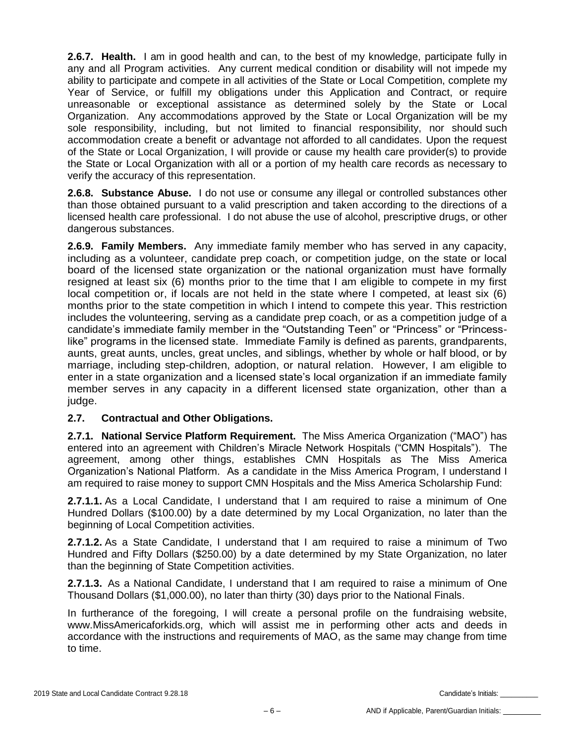**2.6.7. Health.** I am in good health and can, to the best of my knowledge, participate fully in any and all Program activities. Any current medical condition or disability will not impede my ability to participate and compete in all activities of the State or Local Competition, complete my Year of Service, or fulfill my obligations under this Application and Contract, or require unreasonable or exceptional assistance as determined solely by the State or Local Organization. Any accommodations approved by the State or Local Organization will be my sole responsibility, including, but not limited to financial responsibility, nor should such accommodation create a benefit or advantage not afforded to all candidates. Upon the request of the State or Local Organization, I will provide or cause my health care provider(s) to provide the State or Local Organization with all or a portion of my health care records as necessary to verify the accuracy of this representation.

**2.6.8. Substance Abuse.** I do not use or consume any illegal or controlled substances other than those obtained pursuant to a valid prescription and taken according to the directions of a licensed health care professional. I do not abuse the use of alcohol, prescriptive drugs, or other dangerous substances.

**2.6.9. Family Members.** Any immediate family member who has served in any capacity, including as a volunteer, candidate prep coach, or competition judge, on the state or local board of the licensed state organization or the national organization must have formally resigned at least six (6) months prior to the time that I am eligible to compete in my first local competition or, if locals are not held in the state where I competed, at least six (6) months prior to the state competition in which I intend to compete this year. This restriction includes the volunteering, serving as a candidate prep coach, or as a competition judge of a candidate's immediate family member in the "Outstanding Teen" or "Princess" or "Princesslike" programs in the licensed state. Immediate Family is defined as parents, grandparents, aunts, great aunts, uncles, great uncles, and siblings, whether by whole or half blood, or by marriage, including step-children, adoption, or natural relation. However, I am eligible to enter in a state organization and a licensed state's local organization if an immediate family member serves in any capacity in a different licensed state organization, other than a judge.

## **2.7. Contractual and Other Obligations.**

**2.7.1. National Service Platform Requirement.** The Miss America Organization ("MAO") has entered into an agreement with Children's Miracle Network Hospitals ("CMN Hospitals"). The agreement, among other things, establishes CMN Hospitals as The Miss America Organization's National Platform. As a candidate in the Miss America Program, I understand I am required to raise money to support CMN Hospitals and the Miss America Scholarship Fund:

**2.7.1.1.** As a Local Candidate, I understand that I am required to raise a minimum of One Hundred Dollars (\$100.00) by a date determined by my Local Organization, no later than the beginning of Local Competition activities.

**2.7.1.2.** As a State Candidate, I understand that I am required to raise a minimum of Two Hundred and Fifty Dollars (\$250.00) by a date determined by my State Organization, no later than the beginning of State Competition activities.

**2.7.1.3.** As a National Candidate, I understand that I am required to raise a minimum of One Thousand Dollars (\$1,000.00), no later than thirty (30) days prior to the National Finals.

In furtherance of the foregoing, I will create a personal profile on the fundraising website, www.MissAmericaforkids.org, which will assist me in performing other acts and deeds in accordance with the instructions and requirements of MAO, as the same may change from time to time.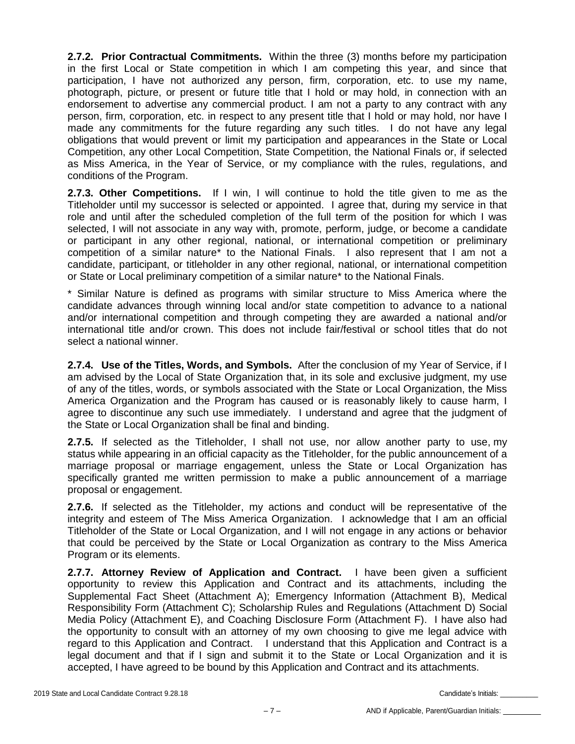**2.7.2. Prior Contractual Commitments.** Within the three (3) months before my participation in the first Local or State competition in which I am competing this year, and since that participation, I have not authorized any person, firm, corporation, etc. to use my name, photograph, picture, or present or future title that I hold or may hold, in connection with an endorsement to advertise any commercial product. I am not a party to any contract with any person, firm, corporation, etc. in respect to any present title that I hold or may hold, nor have I made any commitments for the future regarding any such titles. I do not have any legal obligations that would prevent or limit my participation and appearances in the State or Local Competition, any other Local Competition, State Competition, the National Finals or, if selected as Miss America, in the Year of Service, or my compliance with the rules, regulations, and conditions of the Program.

**2.7.3. Other Competitions.** If I win, I will continue to hold the title given to me as the Titleholder until my successor is selected or appointed. I agree that, during my service in that role and until after the scheduled completion of the full term of the position for which I was selected, I will not associate in any way with, promote, perform, judge, or become a candidate or participant in any other regional, national, or international competition or preliminary competition of a similar nature\* to the National Finals. I also represent that I am not a candidate, participant, or titleholder in any other regional, national, or international competition or State or Local preliminary competition of a similar nature\* to the National Finals.

\* Similar Nature is defined as programs with similar structure to Miss America where the candidate advances through winning local and/or state competition to advance to a national and/or international competition and through competing they are awarded a national and/or international title and/or crown. This does not include fair/festival or school titles that do not select a national winner.

**2.7.4. Use of the Titles, Words, and Symbols.** After the conclusion of my Year of Service, if I am advised by the Local of State Organization that, in its sole and exclusive judgment, my use of any of the titles, words, or symbols associated with the State or Local Organization, the Miss America Organization and the Program has caused or is reasonably likely to cause harm, I agree to discontinue any such use immediately. I understand and agree that the judgment of the State or Local Organization shall be final and binding.

**2.7.5.** If selected as the Titleholder, I shall not use, nor allow another party to use, my status while appearing in an official capacity as the Titleholder, for the public announcement of a marriage proposal or marriage engagement, unless the State or Local Organization has specifically granted me written permission to make a public announcement of a marriage proposal or engagement.

**2.7.6.** If selected as the Titleholder, my actions and conduct will be representative of the integrity and esteem of The Miss America Organization. I acknowledge that I am an official Titleholder of the State or Local Organization, and I will not engage in any actions or behavior that could be perceived by the State or Local Organization as contrary to the Miss America Program or its elements.

**2.7.7. Attorney Review of Application and Contract.** I have been given a sufficient opportunity to review this Application and Contract and its attachments, including the Supplemental Fact Sheet (Attachment A); Emergency Information (Attachment B), Medical Responsibility Form (Attachment C); Scholarship Rules and Regulations (Attachment D) Social Media Policy (Attachment E), and Coaching Disclosure Form (Attachment F). I have also had the opportunity to consult with an attorney of my own choosing to give me legal advice with regard to this Application and Contract. I understand that this Application and Contract is a legal document and that if I sign and submit it to the State or Local Organization and it is accepted, I have agreed to be bound by this Application and Contract and its attachments.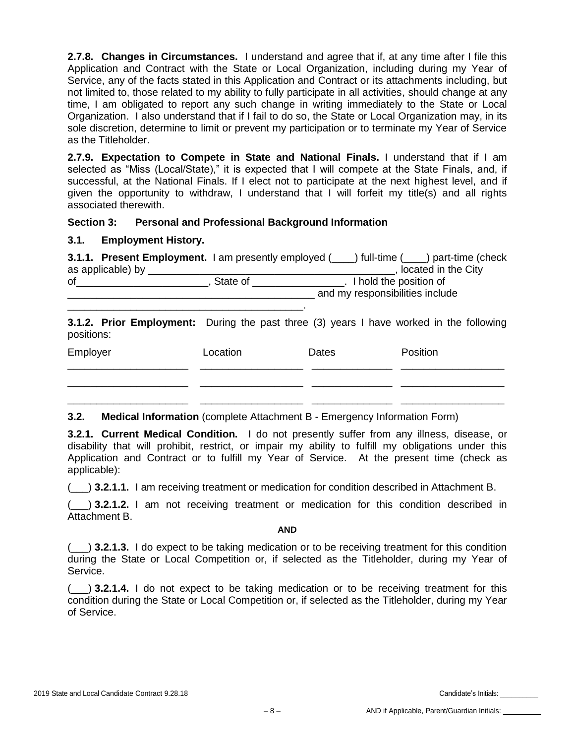**2.7.8. Changes in Circumstances.** I understand and agree that if, at any time after I file this Application and Contract with the State or Local Organization, including during my Year of Service, any of the facts stated in this Application and Contract or its attachments including, but not limited to, those related to my ability to fully participate in all activities, should change at any time, I am obligated to report any such change in writing immediately to the State or Local Organization. I also understand that if I fail to do so, the State or Local Organization may, in its sole discretion, determine to limit or prevent my participation or to terminate my Year of Service as the Titleholder.

**2.7.9. Expectation to Compete in State and National Finals.** I understand that if I am selected as "Miss (Local/State)," it is expected that I will compete at the State Finals, and, if successful, at the National Finals. If I elect not to participate at the next highest level, and if given the opportunity to withdraw, I understand that I will forfeit my title(s) and all rights associated therewith.

## **Section 3: Personal and Professional Background Information**

## **3.1. Employment History.**

| as applicable) by __ |          |                                 | 3.1.1. Present Employment. I am presently employed (incorrelled time (incorduction (check<br>, located in the City |  |  |  |
|----------------------|----------|---------------------------------|--------------------------------------------------------------------------------------------------------------------|--|--|--|
|                      |          | State of <b>container</b>       | _. I hold the position of                                                                                          |  |  |  |
|                      |          | and my responsibilities include |                                                                                                                    |  |  |  |
|                      |          |                                 |                                                                                                                    |  |  |  |
| positions:           |          |                                 | 3.1.2. Prior Employment: During the past three (3) years I have worked in the following                            |  |  |  |
| Employer             | Location | Dates                           | Position                                                                                                           |  |  |  |
|                      |          |                                 |                                                                                                                    |  |  |  |
|                      |          |                                 |                                                                                                                    |  |  |  |
|                      |          |                                 |                                                                                                                    |  |  |  |

## **3.2. Medical Information** (complete Attachment B - Emergency Information Form)

**3.2.1. Current Medical Condition.** I do not presently suffer from any illness, disease, or disability that will prohibit, restrict, or impair my ability to fulfill my obligations under this Application and Contract or to fulfill my Year of Service. At the present time (check as applicable):

\_\_\_\_\_\_\_\_\_\_\_\_\_\_\_\_\_\_\_\_\_ \_\_\_\_\_\_\_\_\_\_\_\_\_\_\_\_\_\_ \_\_\_\_\_\_\_\_\_\_\_\_\_\_ \_\_\_\_\_\_\_\_\_\_\_\_\_\_\_\_\_\_

(\_\_\_) **3.2.1.1.** I am receiving treatment or medication for condition described in Attachment B.

(\_\_\_) **3.2.1.2.** I am not receiving treatment or medication for this condition described in Attachment B.

#### **AND**

(\_\_\_) **3.2.1.3.** I do expect to be taking medication or to be receiving treatment for this condition during the State or Local Competition or, if selected as the Titleholder, during my Year of Service.

(\_\_\_) **3.2.1.4.** I do not expect to be taking medication or to be receiving treatment for this condition during the State or Local Competition or, if selected as the Titleholder, during my Year of Service.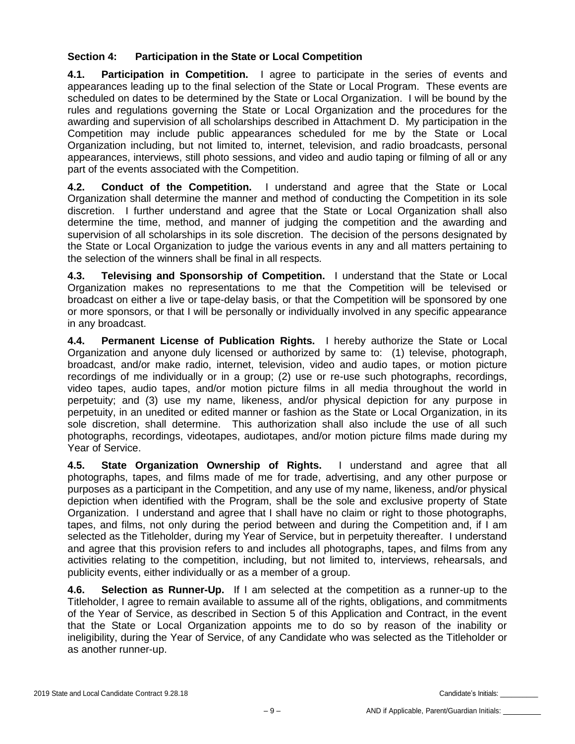## **Section 4: Participation in the State or Local Competition**

**4.1. Participation in Competition.** I agree to participate in the series of events and appearances leading up to the final selection of the State or Local Program. These events are scheduled on dates to be determined by the State or Local Organization. I will be bound by the rules and regulations governing the State or Local Organization and the procedures for the awarding and supervision of all scholarships described in Attachment D. My participation in the Competition may include public appearances scheduled for me by the State or Local Organization including, but not limited to, internet, television, and radio broadcasts, personal appearances, interviews, still photo sessions, and video and audio taping or filming of all or any part of the events associated with the Competition.

**4.2. Conduct of the Competition.** I understand and agree that the State or Local Organization shall determine the manner and method of conducting the Competition in its sole discretion. I further understand and agree that the State or Local Organization shall also determine the time, method, and manner of judging the competition and the awarding and supervision of all scholarships in its sole discretion. The decision of the persons designated by the State or Local Organization to judge the various events in any and all matters pertaining to the selection of the winners shall be final in all respects.

**4.3. Televising and Sponsorship of Competition.** I understand that the State or Local Organization makes no representations to me that the Competition will be televised or broadcast on either a live or tape-delay basis, or that the Competition will be sponsored by one or more sponsors, or that I will be personally or individually involved in any specific appearance in any broadcast.

**4.4. Permanent License of Publication Rights.** I hereby authorize the State or Local Organization and anyone duly licensed or authorized by same to: (1) televise, photograph, broadcast, and/or make radio, internet, television, video and audio tapes, or motion picture recordings of me individually or in a group; (2) use or re-use such photographs, recordings, video tapes, audio tapes, and/or motion picture films in all media throughout the world in perpetuity; and (3) use my name, likeness, and/or physical depiction for any purpose in perpetuity, in an unedited or edited manner or fashion as the State or Local Organization, in its sole discretion, shall determine. This authorization shall also include the use of all such photographs, recordings, videotapes, audiotapes, and/or motion picture films made during my Year of Service.

**4.5. State Organization Ownership of Rights.** I understand and agree that all photographs, tapes, and films made of me for trade, advertising, and any other purpose or purposes as a participant in the Competition, and any use of my name, likeness, and/or physical depiction when identified with the Program, shall be the sole and exclusive property of State Organization. I understand and agree that I shall have no claim or right to those photographs, tapes, and films, not only during the period between and during the Competition and, if I am selected as the Titleholder, during my Year of Service, but in perpetuity thereafter. I understand and agree that this provision refers to and includes all photographs, tapes, and films from any activities relating to the competition, including, but not limited to, interviews, rehearsals, and publicity events, either individually or as a member of a group.

**4.6. Selection as Runner-Up.** If I am selected at the competition as a runner-up to the Titleholder, I agree to remain available to assume all of the rights, obligations, and commitments of the Year of Service, as described in Section 5 of this Application and Contract, in the event that the State or Local Organization appoints me to do so by reason of the inability or ineligibility, during the Year of Service, of any Candidate who was selected as the Titleholder or as another runner-up.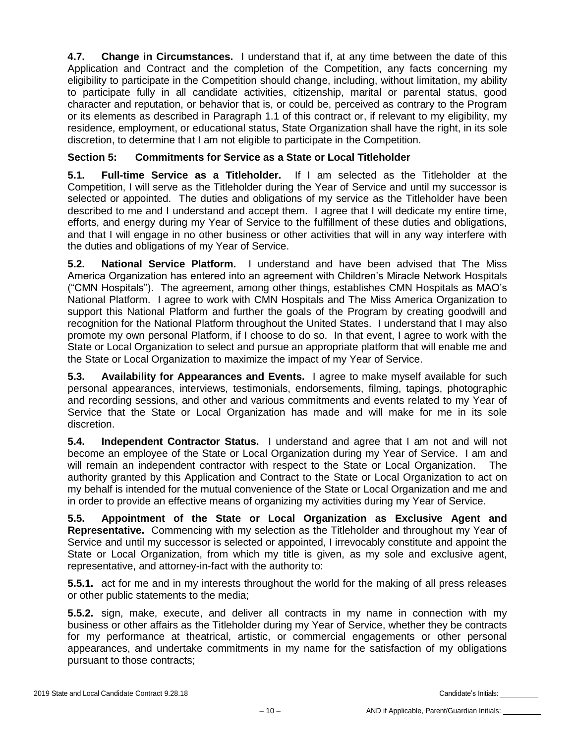**4.7. Change in Circumstances.** I understand that if, at any time between the date of this Application and Contract and the completion of the Competition, any facts concerning my eligibility to participate in the Competition should change, including, without limitation, my ability to participate fully in all candidate activities, citizenship, marital or parental status, good character and reputation, or behavior that is, or could be, perceived as contrary to the Program or its elements as described in Paragraph 1.1 of this contract or, if relevant to my eligibility, my residence, employment, or educational status, State Organization shall have the right, in its sole discretion, to determine that I am not eligible to participate in the Competition.

# **Section 5: Commitments for Service as a State or Local Titleholder**

**5.1. Full-time Service as a Titleholder.** If I am selected as the Titleholder at the Competition, I will serve as the Titleholder during the Year of Service and until my successor is selected or appointed. The duties and obligations of my service as the Titleholder have been described to me and I understand and accept them. I agree that I will dedicate my entire time, efforts, and energy during my Year of Service to the fulfillment of these duties and obligations, and that I will engage in no other business or other activities that will in any way interfere with the duties and obligations of my Year of Service.

**5.2. National Service Platform.** I understand and have been advised that The Miss America Organization has entered into an agreement with Children's Miracle Network Hospitals ("CMN Hospitals"). The agreement, among other things, establishes CMN Hospitals as MAO's National Platform. I agree to work with CMN Hospitals and The Miss America Organization to support this National Platform and further the goals of the Program by creating goodwill and recognition for the National Platform throughout the United States. I understand that I may also promote my own personal Platform, if I choose to do so. In that event, I agree to work with the State or Local Organization to select and pursue an appropriate platform that will enable me and the State or Local Organization to maximize the impact of my Year of Service.

**5.3. Availability for Appearances and Events.** I agree to make myself available for such personal appearances, interviews, testimonials, endorsements, filming, tapings, photographic and recording sessions, and other and various commitments and events related to my Year of Service that the State or Local Organization has made and will make for me in its sole discretion.

**5.4. Independent Contractor Status.** I understand and agree that I am not and will not become an employee of the State or Local Organization during my Year of Service. I am and will remain an independent contractor with respect to the State or Local Organization. The authority granted by this Application and Contract to the State or Local Organization to act on my behalf is intended for the mutual convenience of the State or Local Organization and me and in order to provide an effective means of organizing my activities during my Year of Service.

**5.5. Appointment of the State or Local Organization as Exclusive Agent and Representative.** Commencing with my selection as the Titleholder and throughout my Year of Service and until my successor is selected or appointed, I irrevocably constitute and appoint the State or Local Organization, from which my title is given, as my sole and exclusive agent, representative, and attorney-in-fact with the authority to:

**5.5.1.** act for me and in my interests throughout the world for the making of all press releases or other public statements to the media;

**5.5.2.** sign, make, execute, and deliver all contracts in my name in connection with my business or other affairs as the Titleholder during my Year of Service, whether they be contracts for my performance at theatrical, artistic, or commercial engagements or other personal appearances, and undertake commitments in my name for the satisfaction of my obligations pursuant to those contracts;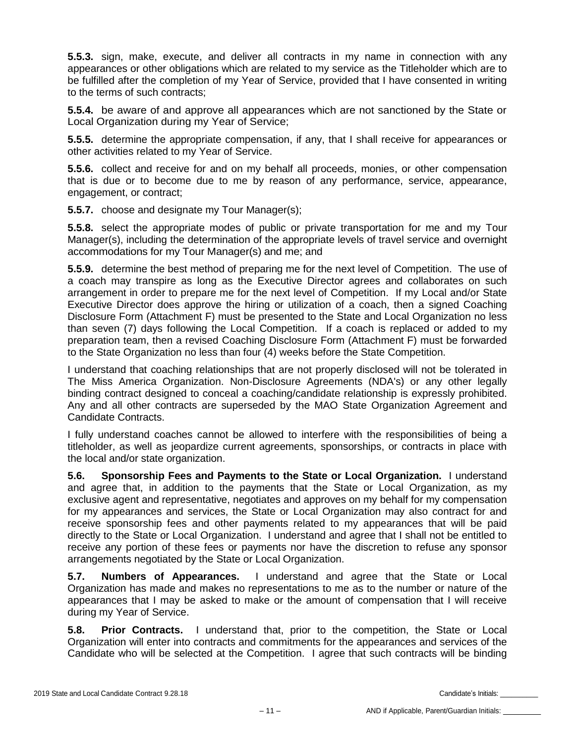**5.5.3.** sign, make, execute, and deliver all contracts in my name in connection with any appearances or other obligations which are related to my service as the Titleholder which are to be fulfilled after the completion of my Year of Service, provided that I have consented in writing to the terms of such contracts;

**5.5.4.** be aware of and approve all appearances which are not sanctioned by the State or Local Organization during my Year of Service;

**5.5.5.** determine the appropriate compensation, if any, that I shall receive for appearances or other activities related to my Year of Service.

**5.5.6.** collect and receive for and on my behalf all proceeds, monies, or other compensation that is due or to become due to me by reason of any performance, service, appearance, engagement, or contract;

**5.5.7.** choose and designate my Tour Manager(s);

**5.5.8.** select the appropriate modes of public or private transportation for me and my Tour Manager(s), including the determination of the appropriate levels of travel service and overnight accommodations for my Tour Manager(s) and me; and

**5.5.9.** determine the best method of preparing me for the next level of Competition. The use of a coach may transpire as long as the Executive Director agrees and collaborates on such arrangement in order to prepare me for the next level of Competition. If my Local and/or State Executive Director does approve the hiring or utilization of a coach, then a signed Coaching Disclosure Form (Attachment F) must be presented to the State and Local Organization no less than seven (7) days following the Local Competition. If a coach is replaced or added to my preparation team, then a revised Coaching Disclosure Form (Attachment F) must be forwarded to the State Organization no less than four (4) weeks before the State Competition.

I understand that coaching relationships that are not properly disclosed will not be tolerated in The Miss America Organization. Non-Disclosure Agreements (NDA's) or any other legally binding contract designed to conceal a coaching/candidate relationship is expressly prohibited. Any and all other contracts are superseded by the MAO State Organization Agreement and Candidate Contracts.

I fully understand coaches cannot be allowed to interfere with the responsibilities of being a titleholder, as well as jeopardize current agreements, sponsorships, or contracts in place with the local and/or state organization.

**5.6. Sponsorship Fees and Payments to the State or Local Organization.** I understand and agree that, in addition to the payments that the State or Local Organization, as my exclusive agent and representative, negotiates and approves on my behalf for my compensation for my appearances and services, the State or Local Organization may also contract for and receive sponsorship fees and other payments related to my appearances that will be paid directly to the State or Local Organization. I understand and agree that I shall not be entitled to receive any portion of these fees or payments nor have the discretion to refuse any sponsor arrangements negotiated by the State or Local Organization.

**5.7. Numbers of Appearances.** I understand and agree that the State or Local Organization has made and makes no representations to me as to the number or nature of the appearances that I may be asked to make or the amount of compensation that I will receive during my Year of Service.

**5.8. Prior Contracts.** I understand that, prior to the competition, the State or Local Organization will enter into contracts and commitments for the appearances and services of the Candidate who will be selected at the Competition. I agree that such contracts will be binding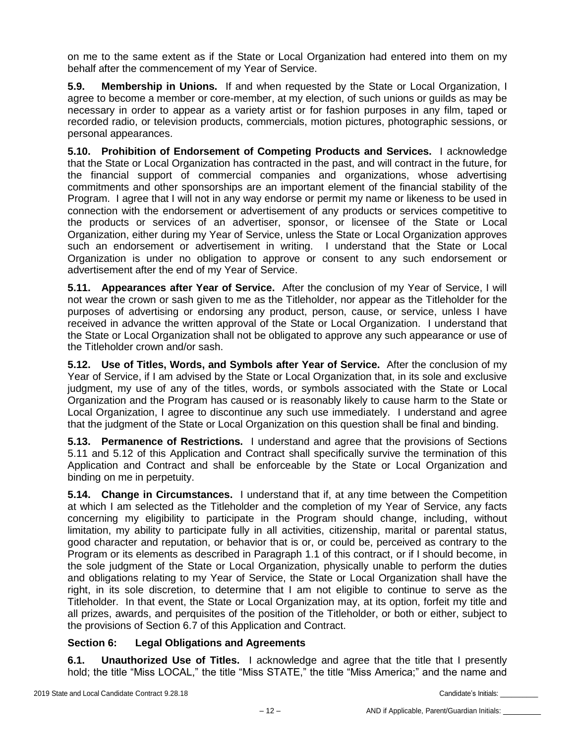on me to the same extent as if the State or Local Organization had entered into them on my behalf after the commencement of my Year of Service.

**5.9. Membership in Unions.** If and when requested by the State or Local Organization, I agree to become a member or core-member, at my election, of such unions or guilds as may be necessary in order to appear as a variety artist or for fashion purposes in any film, taped or recorded radio, or television products, commercials, motion pictures, photographic sessions, or personal appearances.

**5.10. Prohibition of Endorsement of Competing Products and Services.** I acknowledge that the State or Local Organization has contracted in the past, and will contract in the future, for the financial support of commercial companies and organizations, whose advertising commitments and other sponsorships are an important element of the financial stability of the Program. I agree that I will not in any way endorse or permit my name or likeness to be used in connection with the endorsement or advertisement of any products or services competitive to the products or services of an advertiser, sponsor, or licensee of the State or Local Organization, either during my Year of Service, unless the State or Local Organization approves such an endorsement or advertisement in writing. I understand that the State or Local Organization is under no obligation to approve or consent to any such endorsement or advertisement after the end of my Year of Service.

**5.11. Appearances after Year of Service.** After the conclusion of my Year of Service, I will not wear the crown or sash given to me as the Titleholder, nor appear as the Titleholder for the purposes of advertising or endorsing any product, person, cause, or service, unless I have received in advance the written approval of the State or Local Organization. I understand that the State or Local Organization shall not be obligated to approve any such appearance or use of the Titleholder crown and/or sash.

**5.12. Use of Titles, Words, and Symbols after Year of Service.** After the conclusion of my Year of Service, if I am advised by the State or Local Organization that, in its sole and exclusive judgment, my use of any of the titles, words, or symbols associated with the State or Local Organization and the Program has caused or is reasonably likely to cause harm to the State or Local Organization, I agree to discontinue any such use immediately. I understand and agree that the judgment of the State or Local Organization on this question shall be final and binding.

**5.13. Permanence of Restrictions.** I understand and agree that the provisions of Sections 5.11 and 5.12 of this Application and Contract shall specifically survive the termination of this Application and Contract and shall be enforceable by the State or Local Organization and binding on me in perpetuity.

**5.14. Change in Circumstances.** I understand that if, at any time between the Competition at which I am selected as the Titleholder and the completion of my Year of Service, any facts concerning my eligibility to participate in the Program should change, including, without limitation, my ability to participate fully in all activities, citizenship, marital or parental status, good character and reputation, or behavior that is or, or could be, perceived as contrary to the Program or its elements as described in Paragraph 1.1 of this contract, or if I should become, in the sole judgment of the State or Local Organization, physically unable to perform the duties and obligations relating to my Year of Service, the State or Local Organization shall have the right, in its sole discretion, to determine that I am not eligible to continue to serve as the Titleholder. In that event, the State or Local Organization may, at its option, forfeit my title and all prizes, awards, and perquisites of the position of the Titleholder, or both or either, subject to the provisions of Section 6.7 of this Application and Contract.

# **Section 6: Legal Obligations and Agreements**

**6.1. Unauthorized Use of Titles.** I acknowledge and agree that the title that I presently hold; the title "Miss LOCAL," the title "Miss STATE," the title "Miss America;" and the name and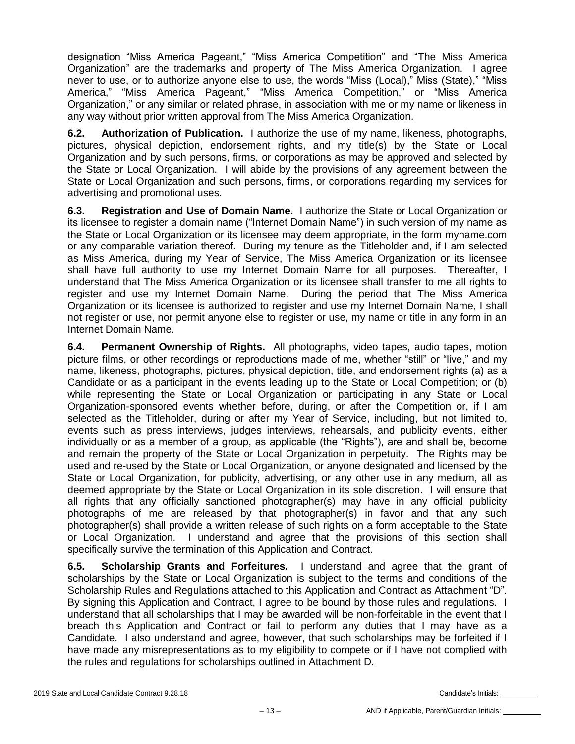designation "Miss America Pageant," "Miss America Competition" and "The Miss America Organization" are the trademarks and property of The Miss America Organization. I agree never to use, or to authorize anyone else to use, the words "Miss (Local)," Miss (State)," "Miss America," "Miss America Pageant," "Miss America Competition," or "Miss America Organization," or any similar or related phrase, in association with me or my name or likeness in any way without prior written approval from The Miss America Organization.

**6.2. Authorization of Publication.** I authorize the use of my name, likeness, photographs, pictures, physical depiction, endorsement rights, and my title(s) by the State or Local Organization and by such persons, firms, or corporations as may be approved and selected by the State or Local Organization. I will abide by the provisions of any agreement between the State or Local Organization and such persons, firms, or corporations regarding my services for advertising and promotional uses.

**6.3. Registration and Use of Domain Name.** I authorize the State or Local Organization or its licensee to register a domain name ("Internet Domain Name") in such version of my name as the State or Local Organization or its licensee may deem appropriate, in the form myname.com or any comparable variation thereof. During my tenure as the Titleholder and, if I am selected as Miss America, during my Year of Service, The Miss America Organization or its licensee shall have full authority to use my Internet Domain Name for all purposes. Thereafter, I understand that The Miss America Organization or its licensee shall transfer to me all rights to register and use my Internet Domain Name. During the period that The Miss America Organization or its licensee is authorized to register and use my Internet Domain Name, I shall not register or use, nor permit anyone else to register or use, my name or title in any form in an Internet Domain Name.

**6.4. Permanent Ownership of Rights.** All photographs, video tapes, audio tapes, motion picture films, or other recordings or reproductions made of me, whether "still" or "live," and my name, likeness, photographs, pictures, physical depiction, title, and endorsement rights (a) as a Candidate or as a participant in the events leading up to the State or Local Competition; or (b) while representing the State or Local Organization or participating in any State or Local Organization-sponsored events whether before, during, or after the Competition or, if I am selected as the Titleholder, during or after my Year of Service, including, but not limited to, events such as press interviews, judges interviews, rehearsals, and publicity events, either individually or as a member of a group, as applicable (the "Rights"), are and shall be, become and remain the property of the State or Local Organization in perpetuity. The Rights may be used and re-used by the State or Local Organization, or anyone designated and licensed by the State or Local Organization, for publicity, advertising, or any other use in any medium, all as deemed appropriate by the State or Local Organization in its sole discretion. I will ensure that all rights that any officially sanctioned photographer(s) may have in any official publicity photographs of me are released by that photographer(s) in favor and that any such photographer(s) shall provide a written release of such rights on a form acceptable to the State or Local Organization. I understand and agree that the provisions of this section shall specifically survive the termination of this Application and Contract.

**6.5. Scholarship Grants and Forfeitures.** I understand and agree that the grant of scholarships by the State or Local Organization is subject to the terms and conditions of the Scholarship Rules and Regulations attached to this Application and Contract as Attachment "D". By signing this Application and Contract, I agree to be bound by those rules and regulations. I understand that all scholarships that I may be awarded will be non-forfeitable in the event that I breach this Application and Contract or fail to perform any duties that I may have as a Candidate. I also understand and agree, however, that such scholarships may be forfeited if I have made any misrepresentations as to my eligibility to compete or if I have not complied with the rules and regulations for scholarships outlined in Attachment D.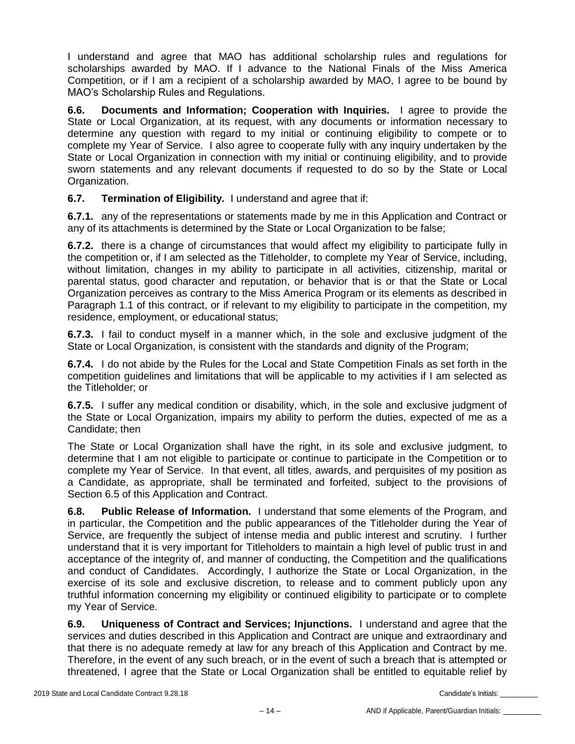I understand and agree that MAO has additional scholarship rules and regulations for scholarships awarded by MAO. If I advance to the National Finals of the Miss America Competition, or if I am a recipient of a scholarship awarded by MAO, I agree to be bound by MAO's Scholarship Rules and Regulations.

**6.6. Documents and Information; Cooperation with Inquiries.** I agree to provide the State or Local Organization, at its request, with any documents or information necessary to determine any question with regard to my initial or continuing eligibility to compete or to complete my Year of Service. I also agree to cooperate fully with any inquiry undertaken by the State or Local Organization in connection with my initial or continuing eligibility, and to provide sworn statements and any relevant documents if requested to do so by the State or Local Organization.

**6.7. Termination of Eligibility.** I understand and agree that if:

**6.7.1.** any of the representations or statements made by me in this Application and Contract or any of its attachments is determined by the State or Local Organization to be false;

**6.7.2.** there is a change of circumstances that would affect my eligibility to participate fully in the competition or, if I am selected as the Titleholder, to complete my Year of Service, including, without limitation, changes in my ability to participate in all activities, citizenship, marital or parental status, good character and reputation, or behavior that is or that the State or Local Organization perceives as contrary to the Miss America Program or its elements as described in Paragraph 1.1 of this contract, or if relevant to my eligibility to participate in the competition, my residence, employment, or educational status;

**6.7.3.** I fail to conduct myself in a manner which, in the sole and exclusive judgment of the State or Local Organization, is consistent with the standards and dignity of the Program;

**6.7.4.** I do not abide by the Rules for the Local and State Competition Finals as set forth in the competition guidelines and limitations that will be applicable to my activities if I am selected as the Titleholder; or

**6.7.5.** I suffer any medical condition or disability, which, in the sole and exclusive judgment of the State or Local Organization, impairs my ability to perform the duties, expected of me as a Candidate; then

The State or Local Organization shall have the right, in its sole and exclusive judgment, to determine that I am not eligible to participate or continue to participate in the Competition or to complete my Year of Service. In that event, all titles, awards, and perquisites of my position as a Candidate, as appropriate, shall be terminated and forfeited, subject to the provisions of Section 6.5 of this Application and Contract.

**6.8. Public Release of Information.** I understand that some elements of the Program, and in particular, the Competition and the public appearances of the Titleholder during the Year of Service, are frequently the subject of intense media and public interest and scrutiny. I further understand that it is very important for Titleholders to maintain a high level of public trust in and acceptance of the integrity of, and manner of conducting, the Competition and the qualifications and conduct of Candidates. Accordingly, I authorize the State or Local Organization, in the exercise of its sole and exclusive discretion, to release and to comment publicly upon any truthful information concerning my eligibility or continued eligibility to participate or to complete my Year of Service.

**6.9. Uniqueness of Contract and Services; Injunctions.** I understand and agree that the services and duties described in this Application and Contract are unique and extraordinary and that there is no adequate remedy at law for any breach of this Application and Contract by me. Therefore, in the event of any such breach, or in the event of such a breach that is attempted or threatened, I agree that the State or Local Organization shall be entitled to equitable relief by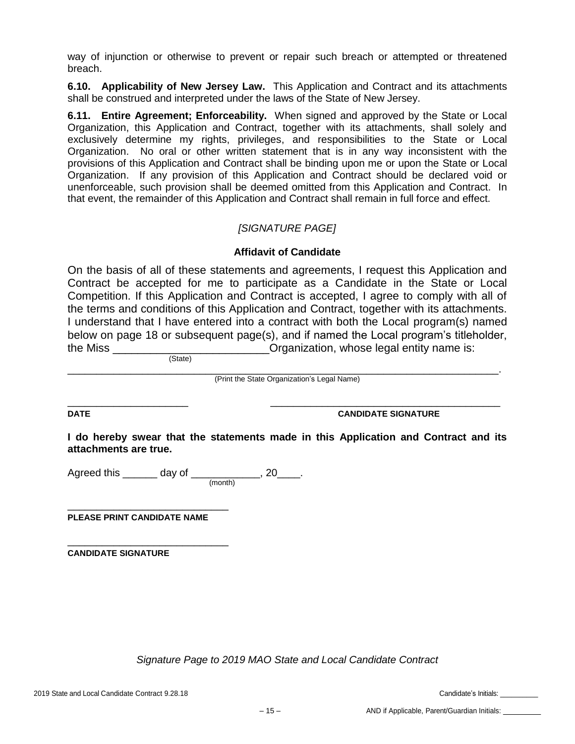way of injunction or otherwise to prevent or repair such breach or attempted or threatened breach.

**6.10. Applicability of New Jersey Law.** This Application and Contract and its attachments shall be construed and interpreted under the laws of the State of New Jersey.

**6.11. Entire Agreement; Enforceability.** When signed and approved by the State or Local Organization, this Application and Contract, together with its attachments, shall solely and exclusively determine my rights, privileges, and responsibilities to the State or Local Organization. No oral or other written statement that is in any way inconsistent with the provisions of this Application and Contract shall be binding upon me or upon the State or Local Organization. If any provision of this Application and Contract should be declared void or unenforceable, such provision shall be deemed omitted from this Application and Contract. In that event, the remainder of this Application and Contract shall remain in full force and effect.

# *[SIGNATURE PAGE]*

## **Affidavit of Candidate**

On the basis of all of these statements and agreements, I request this Application and Contract be accepted for me to participate as a Candidate in the State or Local Competition. If this Application and Contract is accepted, I agree to comply with all of the terms and conditions of this Application and Contract, together with its attachments. I understand that I have entered into a contract with both the Local program(s) named below on page 18 or subsequent page(s), and if named the Local program's titleholder, the Miss \_\_\_\_\_\_\_\_\_\_\_\_\_\_\_\_\_\_\_\_\_\_\_\_\_\_\_\_\_Organization, whose legal entity name is:

(State)

\_\_\_\_\_\_\_\_\_\_\_\_\_\_\_\_\_\_\_\_\_\_\_\_\_\_\_\_\_\_\_\_\_\_\_\_\_\_\_\_\_\_\_\_\_\_\_\_\_\_\_\_\_\_\_\_\_\_\_\_\_\_\_\_\_\_\_\_\_\_\_\_\_\_\_. (Print the State Organization's Legal Name)

\_\_\_\_\_\_\_\_\_\_\_\_\_\_\_\_\_\_\_\_\_ \_\_\_\_\_\_\_\_\_\_\_\_\_\_\_\_\_\_\_\_\_\_\_\_\_\_\_\_\_\_\_\_\_\_\_\_\_\_\_\_

**DATE CANDIDATE SIGNATURE**

**I do hereby swear that the statements made in this Application and Contract and its attachments are true.** 

Agreed this \_\_\_\_\_\_ day of \_\_\_\_\_\_\_\_\_\_\_\_, 20\_\_\_\_. (month)

**PLEASE PRINT CANDIDATE NAME**

\_\_\_\_\_\_\_\_\_\_\_\_\_\_\_\_\_\_\_\_\_\_\_\_\_\_\_\_

\_\_\_\_\_\_\_\_\_\_\_\_\_\_\_\_\_\_\_\_\_\_\_\_\_\_\_\_

**CANDIDATE SIGNATURE**

*Signature Page to 2019 MAO State and Local Candidate Contract*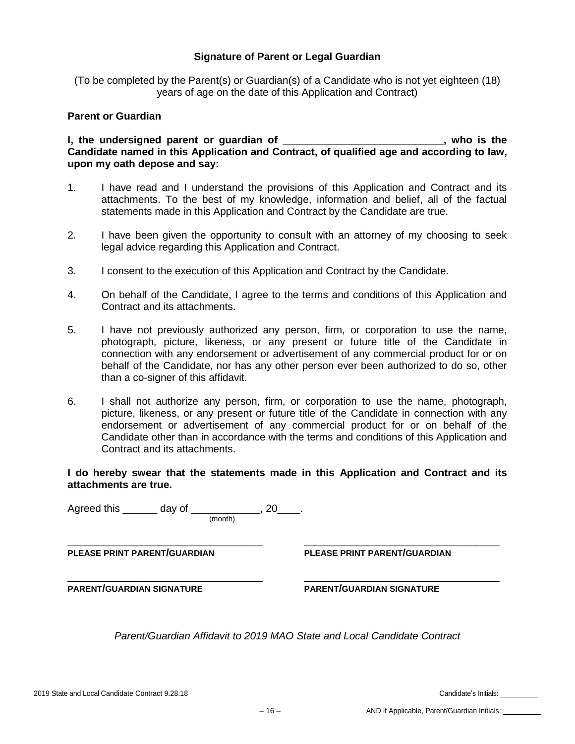## **Signature of Parent or Legal Guardian**

(To be completed by the Parent(s) or Guardian(s) of a Candidate who is not yet eighteen (18) years of age on the date of this Application and Contract)

#### **Parent or Guardian**

**I, the undersigned parent or guardian of \_\_\_\_\_\_\_\_\_\_\_\_\_\_\_\_\_\_\_\_\_\_\_\_\_\_\_\_, who is the Candidate named in this Application and Contract, of qualified age and according to law, upon my oath depose and say:**

- 1. I have read and I understand the provisions of this Application and Contract and its attachments. To the best of my knowledge, information and belief, all of the factual statements made in this Application and Contract by the Candidate are true.
- 2. I have been given the opportunity to consult with an attorney of my choosing to seek legal advice regarding this Application and Contract.
- 3. I consent to the execution of this Application and Contract by the Candidate.
- 4. On behalf of the Candidate, I agree to the terms and conditions of this Application and Contract and its attachments.
- 5. I have not previously authorized any person, firm, or corporation to use the name, photograph, picture, likeness, or any present or future title of the Candidate in connection with any endorsement or advertisement of any commercial product for or on behalf of the Candidate, nor has any other person ever been authorized to do so, other than a co-signer of this affidavit.
- 6. I shall not authorize any person, firm, or corporation to use the name, photograph, picture, likeness, or any present or future title of the Candidate in connection with any endorsement or advertisement of any commercial product for or on behalf of the Candidate other than in accordance with the terms and conditions of this Application and Contract and its attachments.

**I do hereby swear that the statements made in this Application and Contract and its attachments are true.** 

Agreed this \_\_\_\_\_\_ day of \_\_\_\_\_\_\_\_\_\_\_\_, 20\_\_\_\_. (month) \_\_\_\_\_\_\_\_\_\_\_\_\_\_\_\_\_\_\_\_\_\_\_\_\_\_\_\_\_\_\_\_\_\_ \_\_\_\_\_\_\_\_\_\_\_\_\_\_\_\_\_\_\_\_\_\_\_\_\_\_\_\_\_\_\_\_\_\_ **PLEASE PRINT PARENT/GUARDIAN PLEASE PRINT PARENT/GUARDIAN**  \_\_\_\_\_\_\_\_\_\_\_\_\_\_\_\_\_\_\_\_\_\_\_\_\_\_\_\_\_\_\_\_\_\_ \_\_\_\_\_\_\_\_\_\_\_\_\_\_\_\_\_\_\_\_\_\_\_\_\_\_\_\_\_\_\_\_\_\_ **PARENT/GUARDIAN SIGNATURE PARENT/GUARDIAN SIGNATURE**

*Parent/Guardian Affidavit to 2019 MAO State and Local Candidate Contract*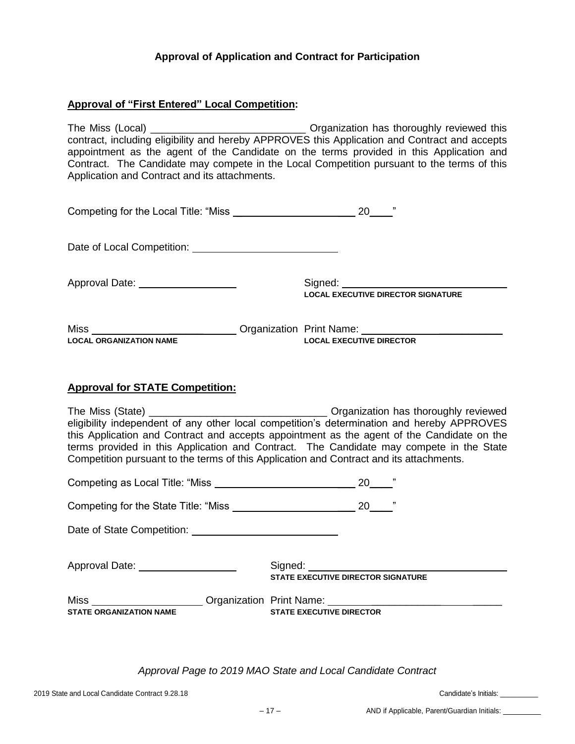## **Approval of Application and Contract for Participation**

## **Approval of "First Entered" Local Competition:**

The Miss (Local) The Miss (Local) **The Miss** (Local) **The Miss** (Local) contract, including eligibility and hereby APPROVES this Application and Contract and accepts appointment as the agent of the Candidate on the terms provided in this Application and Contract. The Candidate may compete in the Local Competition pursuant to the terms of this Application and Contract and its attachments.

| Competing for the Local Title: "Miss |  |
|--------------------------------------|--|
|                                      |  |

Date of Local Competition:

Approval Date: Signed: **LOCAL EXECUTIVE DIRECTOR SIGNATURE**

Miss \_\_\_\_\_\_\_\_\_\_\_\_\_\_\_\_\_\_\_\_\_\_\_\_\_\_\_\_\_\_Organization Print Name: \_\_\_\_\_\_\_\_\_\_\_\_\_\_ **LOCAL ORGANIZATION NAME LOCAL EXECUTIVE DIRECTOR**

#### **Approval for STATE Competition:**

The Miss (State) \_\_\_\_\_\_\_\_\_\_\_\_\_\_\_\_\_\_\_\_\_\_\_\_\_\_\_\_\_\_\_ Organization has thoroughly reviewed eligibility independent of any other local competition's determination and hereby APPROVES this Application and Contract and accepts appointment as the agent of the Candidate on the terms provided in this Application and Contract. The Candidate may compete in the State Competition pursuant to the terms of this Application and Contract and its attachments.

|                                      | ,,<br>20                                                                                                            |
|--------------------------------------|---------------------------------------------------------------------------------------------------------------------|
| Competing for the State Title: "Miss | ,,<br>20                                                                                                            |
|                                      |                                                                                                                     |
| Approval Date: ___________________   | <b>STATE EXECUTIVE DIRECTOR SIGNATURE</b>                                                                           |
| <b>STATE ORGANIZATION NAME</b>       | Miss _____________________Organization Print Name: _____________________________<br><b>STATE EXECUTIVE DIRECTOR</b> |

*Approval Page to 2019 MAO State and Local Candidate Contract*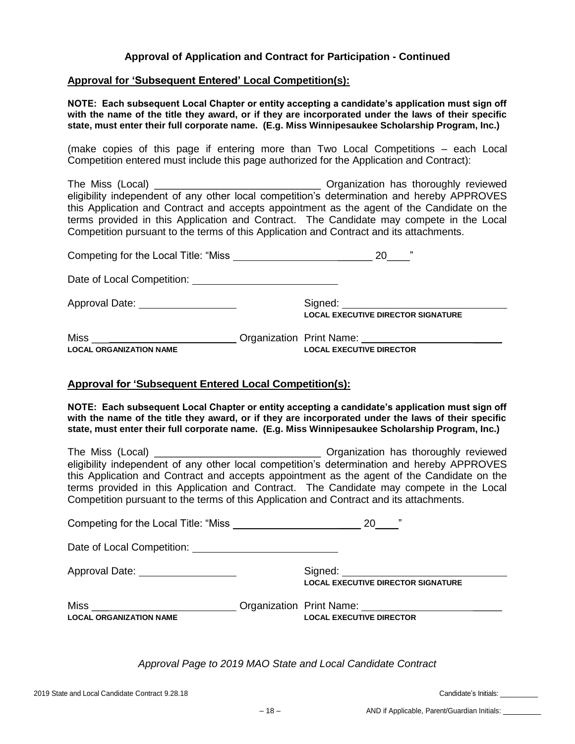## **Approval of Application and Contract for Participation - Continued**

#### **Approval for 'Subsequent Entered' Local Competition(s):**

**NOTE: Each subsequent Local Chapter or entity accepting a candidate's application must sign off with the name of the title they award, or if they are incorporated under the laws of their specific state, must enter their full corporate name. (E.g. Miss Winnipesaukee Scholarship Program, Inc.)**

(make copies of this page if entering more than Two Local Competitions – each Local Competition entered must include this page authorized for the Application and Contract):

The Miss (Local) \_\_\_\_\_\_\_\_\_\_\_\_\_\_\_\_\_\_\_\_\_\_\_\_\_\_\_\_\_ Organization has thoroughly reviewed eligibility independent of any other local competition's determination and hereby APPROVES this Application and Contract and accepts appointment as the agent of the Candidate on the terms provided in this Application and Contract. The Candidate may compete in the Local Competition pursuant to the terms of this Application and Contract and its attachments.

| Competing for the Local Title: "Miss" | "<br>20 |                                           |
|---------------------------------------|---------|-------------------------------------------|
|                                       |         |                                           |
| Approval Date: ____________________   |         | <b>LOCAL EXECUTIVE DIRECTOR SIGNATURE</b> |
| Miss                                  |         |                                           |
| <b>LOCAL ORGANIZATION NAME</b>        |         | <b>LOCAL EXECUTIVE DIRECTOR</b>           |

#### **Approval for 'Subsequent Entered Local Competition(s):**

**NOTE: Each subsequent Local Chapter or entity accepting a candidate's application must sign off with the name of the title they award, or if they are incorporated under the laws of their specific state, must enter their full corporate name. (E.g. Miss Winnipesaukee Scholarship Program, Inc.)**

The Miss (Local) \_\_\_\_\_\_\_\_\_\_\_\_\_\_\_\_\_\_\_\_\_\_\_\_\_\_\_\_\_ Organization has thoroughly reviewed eligibility independent of any other local competition's determination and hereby APPROVES this Application and Contract and accepts appointment as the agent of the Candidate on the terms provided in this Application and Contract. The Candidate may compete in the Local Competition pursuant to the terms of this Application and Contract and its attachments.

|                                                                                                                    | <b>20</b>                                 | ,, |
|--------------------------------------------------------------------------------------------------------------------|-------------------------------------------|----|
|                                                                                                                    |                                           |    |
|                                                                                                                    | <b>LOCAL EXECUTIVE DIRECTOR SIGNATURE</b> |    |
| Miss ______________________________Organization Print Name: ____________________<br><b>LOCAL ORGANIZATION NAME</b> | <b>LOCAL EXECUTIVE DIRECTOR</b>           |    |

*Approval Page to 2019 MAO State and Local Candidate Contract*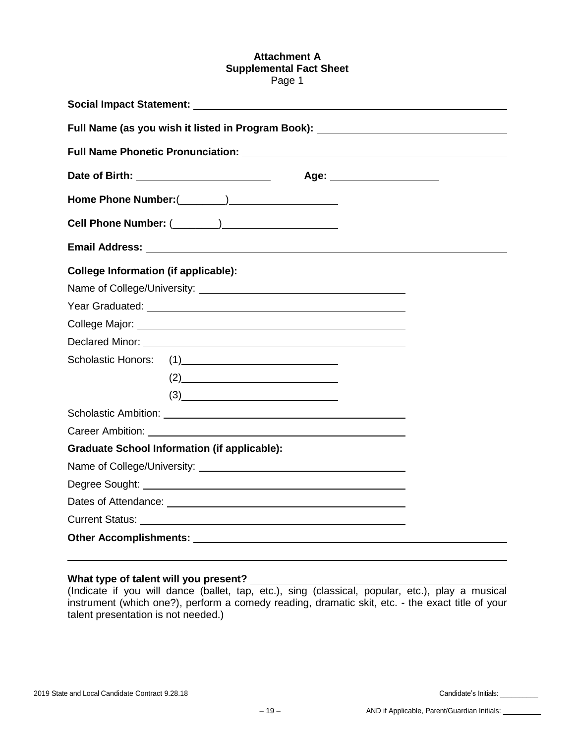#### **Attachment A Supplemental Fact Sheet** Page 1

|                                             | Full Name (as you wish it listed in Program Book): _____________________________ |                                                                                                                                                                                                                               |  |  |  |  |
|---------------------------------------------|----------------------------------------------------------------------------------|-------------------------------------------------------------------------------------------------------------------------------------------------------------------------------------------------------------------------------|--|--|--|--|
|                                             |                                                                                  |                                                                                                                                                                                                                               |  |  |  |  |
|                                             | Date of Birth: The Contract of Birth:                                            | Age: when the contract of the contract of the contract of the contract of the contract of the contract of the contract of the contract of the contract of the contract of the contract of the contract of the contract of the |  |  |  |  |
|                                             |                                                                                  |                                                                                                                                                                                                                               |  |  |  |  |
|                                             |                                                                                  |                                                                                                                                                                                                                               |  |  |  |  |
|                                             |                                                                                  |                                                                                                                                                                                                                               |  |  |  |  |
| <b>College Information (if applicable):</b> |                                                                                  |                                                                                                                                                                                                                               |  |  |  |  |
|                                             |                                                                                  |                                                                                                                                                                                                                               |  |  |  |  |
|                                             |                                                                                  |                                                                                                                                                                                                                               |  |  |  |  |
|                                             |                                                                                  |                                                                                                                                                                                                                               |  |  |  |  |
|                                             |                                                                                  |                                                                                                                                                                                                                               |  |  |  |  |
|                                             |                                                                                  |                                                                                                                                                                                                                               |  |  |  |  |
|                                             | $(2) \qquad \qquad \overbrace{\qquad \qquad }$                                   |                                                                                                                                                                                                                               |  |  |  |  |
|                                             | (3)                                                                              |                                                                                                                                                                                                                               |  |  |  |  |
|                                             |                                                                                  |                                                                                                                                                                                                                               |  |  |  |  |
|                                             |                                                                                  |                                                                                                                                                                                                                               |  |  |  |  |
|                                             | <b>Graduate School Information (if applicable):</b>                              |                                                                                                                                                                                                                               |  |  |  |  |
|                                             |                                                                                  |                                                                                                                                                                                                                               |  |  |  |  |
|                                             |                                                                                  |                                                                                                                                                                                                                               |  |  |  |  |
|                                             |                                                                                  |                                                                                                                                                                                                                               |  |  |  |  |
|                                             |                                                                                  |                                                                                                                                                                                                                               |  |  |  |  |
|                                             |                                                                                  |                                                                                                                                                                                                                               |  |  |  |  |

#### **What type of talent will you present?**

(Indicate if you will dance (ballet, tap, etc.), sing (classical, popular, etc.), play a musical instrument (which one?), perform a comedy reading, dramatic skit, etc. - the exact title of your talent presentation is not needed.)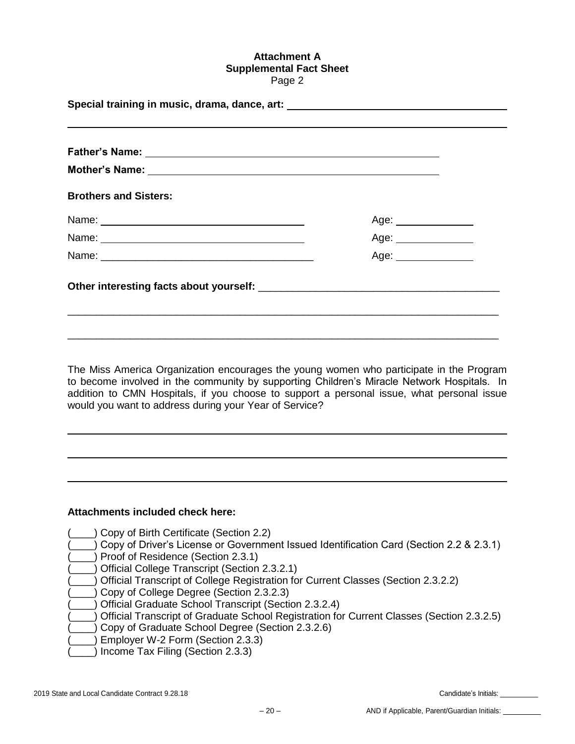#### **Attachment A Supplemental Fact Sheet** Page 2

| Special training in music, drama, dance, art: __________________________________                                                                                                                                               |                       |  |  |  |
|--------------------------------------------------------------------------------------------------------------------------------------------------------------------------------------------------------------------------------|-----------------------|--|--|--|
| ,我们也不会有什么?""我们的人,我们也不会有什么?""我们的人,我们也不会有什么?""我们的人,我们也不会有什么?""我们的人,我们也不会有什么?""我们的人                                                                                                                                               |                       |  |  |  |
|                                                                                                                                                                                                                                |                       |  |  |  |
|                                                                                                                                                                                                                                |                       |  |  |  |
| <b>Brothers and Sisters:</b>                                                                                                                                                                                                   |                       |  |  |  |
| Name: Name:                                                                                                                                                                                                                    | Age: ________________ |  |  |  |
|                                                                                                                                                                                                                                | Age: _______________  |  |  |  |
|                                                                                                                                                                                                                                | Age: ______________   |  |  |  |
| Other interesting facts about yourself: example and all the set of the set of the set of the set of the set of the set of the set of the set of the set of the set of the set of the set of the set of the set of the set of t |                       |  |  |  |
|                                                                                                                                                                                                                                |                       |  |  |  |
|                                                                                                                                                                                                                                |                       |  |  |  |
|                                                                                                                                                                                                                                |                       |  |  |  |

The Miss America Organization encourages the young women who participate in the Program to become involved in the community by supporting Children's Miracle Network Hospitals. In addition to CMN Hospitals, if you choose to support a personal issue, what personal issue would you want to address during your Year of Service?

#### **Attachments included check here:**

- (\_\_\_\_) Copy of Birth Certificate (Section 2.2)
- (\_\_\_\_) Copy of Driver's License or Government Issued Identification Card (Section 2.2 & 2.3.1)
- ) Proof of Residence (Section 2.3.1)
- (\_\_\_\_) Official College Transcript (Section 2.3.2.1)
- (\_\_\_\_) Official Transcript of College Registration for Current Classes (Section 2.3.2.2)
- (2.3.2.3) Copy of College Degree (Section 2.3.2.3)
- (\_\_\_\_) Official Graduate School Transcript (Section 2.3.2.4)
- (\_\_\_\_) Official Transcript of Graduate School Registration for Current Classes (Section 2.3.2.5)
- (Copy of Graduate School Degree (Section 2.3.2.6)
- (\_\_\_\_) Employer W-2 Form (Section 2.3.3)
- ) Income Tax Filing (Section 2.3.3)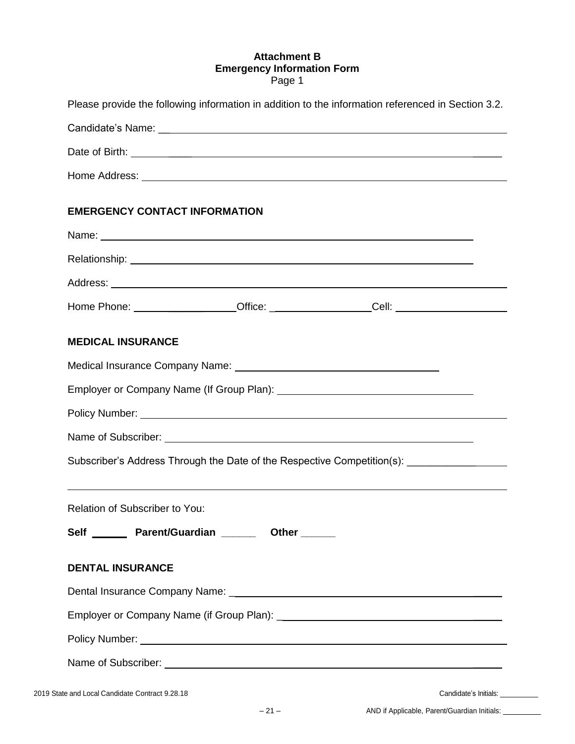## **Attachment B Emergency Information Form** Page 1

| Please provide the following information in addition to the information referenced in Section 3.2.                                                                                                                                   |  |  |  |  |
|--------------------------------------------------------------------------------------------------------------------------------------------------------------------------------------------------------------------------------------|--|--|--|--|
|                                                                                                                                                                                                                                      |  |  |  |  |
|                                                                                                                                                                                                                                      |  |  |  |  |
| Home Address: <u>New York: William School School School School School School School School School School School School School School School School School School School School School School School School School School School </u> |  |  |  |  |
| <b>EMERGENCY CONTACT INFORMATION</b>                                                                                                                                                                                                 |  |  |  |  |
|                                                                                                                                                                                                                                      |  |  |  |  |
|                                                                                                                                                                                                                                      |  |  |  |  |
|                                                                                                                                                                                                                                      |  |  |  |  |
| Home Phone: __________________Office: ___________________Cell: _________________                                                                                                                                                     |  |  |  |  |
| <b>MEDICAL INSURANCE</b>                                                                                                                                                                                                             |  |  |  |  |
|                                                                                                                                                                                                                                      |  |  |  |  |
|                                                                                                                                                                                                                                      |  |  |  |  |
| Policy Number: National According to the Contract of the Contract of the Contract of the Contract of the Contract of the Contract of the Contract of the Contract of the Contract of the Contract of the Contract of the Contr       |  |  |  |  |
|                                                                                                                                                                                                                                      |  |  |  |  |
| Subscriber's Address Through the Date of the Respective Competition(s): ________________                                                                                                                                             |  |  |  |  |
|                                                                                                                                                                                                                                      |  |  |  |  |
| Relation of Subscriber to You:                                                                                                                                                                                                       |  |  |  |  |
| Self _______ Parent/Guardian _______ Other ______                                                                                                                                                                                    |  |  |  |  |
| <b>DENTAL INSURANCE</b>                                                                                                                                                                                                              |  |  |  |  |
|                                                                                                                                                                                                                                      |  |  |  |  |
|                                                                                                                                                                                                                                      |  |  |  |  |
| Policy Number: National Accounts and Accounts and Accounts and Accounts and Accounts and Accounts and Accounts and Accounts and Accounts and Accounts and Accounts and Accounts and Accounts and Accounts and Accounts and Acc       |  |  |  |  |
|                                                                                                                                                                                                                                      |  |  |  |  |
|                                                                                                                                                                                                                                      |  |  |  |  |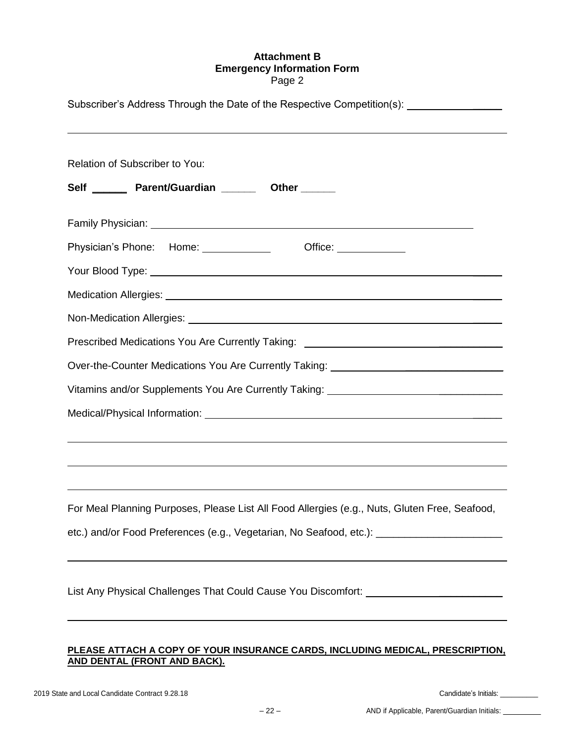## **Attachment B Emergency Information Form** Page 2

| Subscriber's Address Through the Date of the Respective Competition(s): _______________             |  |  |  |  |
|-----------------------------------------------------------------------------------------------------|--|--|--|--|
| Relation of Subscriber to You:                                                                      |  |  |  |  |
| Self _______ Parent/Guardian _______ Other ______                                                   |  |  |  |  |
|                                                                                                     |  |  |  |  |
| Office: _____________                                                                               |  |  |  |  |
|                                                                                                     |  |  |  |  |
|                                                                                                     |  |  |  |  |
|                                                                                                     |  |  |  |  |
| Prescribed Medications You Are Currently Taking: _______________________________                    |  |  |  |  |
| Over-the-Counter Medications You Are Currently Taking: _________________________                    |  |  |  |  |
| Vitamins and/or Supplements You Are Currently Taking: __________________________                    |  |  |  |  |
|                                                                                                     |  |  |  |  |
|                                                                                                     |  |  |  |  |
|                                                                                                     |  |  |  |  |
|                                                                                                     |  |  |  |  |
| For Meal Planning Purposes, Please List All Food Allergies (e.g., Nuts, Gluten Free, Seafood,       |  |  |  |  |
| etc.) and/or Food Preferences (e.g., Vegetarian, No Seafood, etc.): _______________________________ |  |  |  |  |
|                                                                                                     |  |  |  |  |
| List Any Physical Challenges That Could Cause You Discomfort: __________________                    |  |  |  |  |

## **PLEASE ATTACH A COPY OF YOUR INSURANCE CARDS, INCLUDING MEDICAL, PRESCRIPTION, AND DENTAL (FRONT AND BACK).**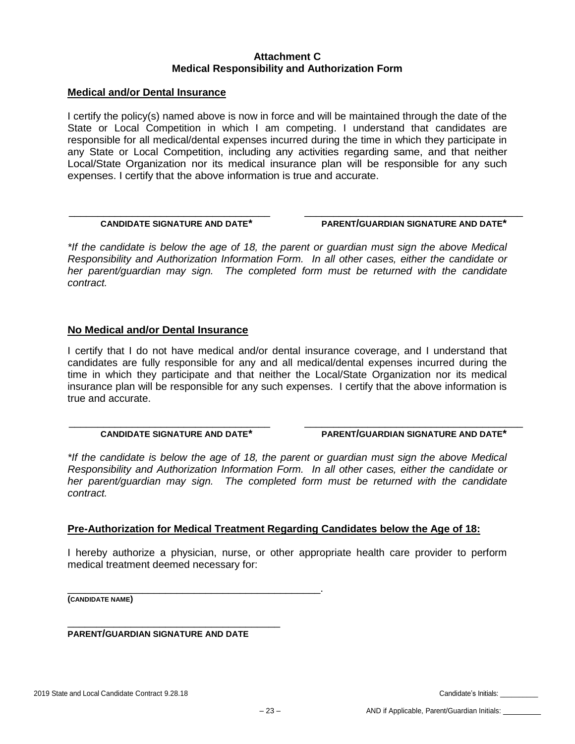## **Attachment C Medical Responsibility and Authorization Form**

#### **Medical and/or Dental Insurance**

I certify the policy(s) named above is now in force and will be maintained through the date of the State or Local Competition in which I am competing. I understand that candidates are responsible for all medical/dental expenses incurred during the time in which they participate in any State or Local Competition, including any activities regarding same, and that neither Local/State Organization nor its medical insurance plan will be responsible for any such expenses. I certify that the above information is true and accurate.

## **CANDIDATE SIGNATURE AND DATE\* PARENT/GUARDIAN SIGNATURE AND DATE\***

*\*If the candidate is below the age of 18, the parent or guardian must sign the above Medical Responsibility and Authorization Information Form. In all other cases, either the candidate or her parent/guardian may sign. The completed form must be returned with the candidate contract.*

\_\_\_\_\_\_\_\_\_\_\_\_\_\_\_\_\_\_\_\_\_\_\_\_\_\_\_\_\_\_\_\_\_\_\_ \_\_\_\_\_\_\_\_\_\_\_\_\_\_\_\_\_\_\_\_\_\_\_\_\_\_\_\_\_\_\_\_\_\_\_\_\_\_

#### **No Medical and/or Dental Insurance**

I certify that I do not have medical and/or dental insurance coverage, and I understand that candidates are fully responsible for any and all medical/dental expenses incurred during the time in which they participate and that neither the Local/State Organization nor its medical insurance plan will be responsible for any such expenses. I certify that the above information is true and accurate.

\_\_\_\_\_\_\_\_\_\_\_\_\_\_\_\_\_\_\_\_\_\_\_\_\_\_\_\_\_\_\_\_\_\_\_ \_\_\_\_\_\_\_\_\_\_\_\_\_\_\_\_\_\_\_\_\_\_\_\_\_\_\_\_\_\_\_\_\_\_\_\_\_\_

 **CANDIDATE SIGNATURE AND DATE\* PARENT/GUARDIAN SIGNATURE AND DATE\***

*\*If the candidate is below the age of 18, the parent or guardian must sign the above Medical Responsibility and Authorization Information Form. In all other cases, either the candidate or her parent/guardian may sign. The completed form must be returned with the candidate contract.*

#### **Pre-Authorization for Medical Treatment Regarding Candidates below the Age of 18:**

I hereby authorize a physician, nurse, or other appropriate health care provider to perform medical treatment deemed necessary for:

\_\_\_\_\_\_\_\_\_\_\_\_\_\_\_\_\_\_\_\_\_\_\_\_\_\_\_\_\_\_\_\_\_\_\_\_\_\_\_\_\_\_\_\_. **(CANDIDATE NAME)**

**PARENT/GUARDIAN SIGNATURE AND DATE**

\_\_\_\_\_\_\_\_\_\_\_\_\_\_\_\_\_\_\_\_\_\_\_\_\_\_\_\_\_\_\_\_\_\_\_\_\_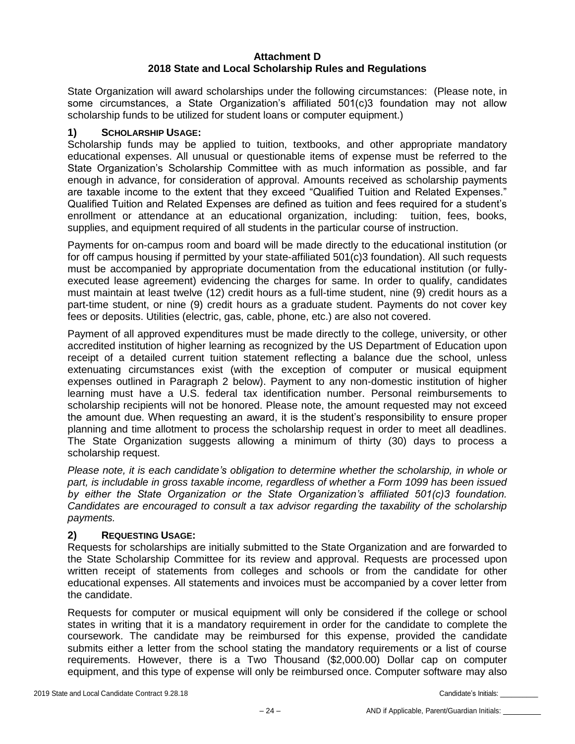## **Attachment D 2018 State and Local Scholarship Rules and Regulations**

State Organization will award scholarships under the following circumstances: (Please note, in some circumstances, a State Organization's affiliated 501(c)3 foundation may not allow scholarship funds to be utilized for student loans or computer equipment.)

## **1) SCHOLARSHIP USAGE:**

Scholarship funds may be applied to tuition, textbooks, and other appropriate mandatory educational expenses. All unusual or questionable items of expense must be referred to the State Organization's Scholarship Committee with as much information as possible, and far enough in advance, for consideration of approval. Amounts received as scholarship payments are taxable income to the extent that they exceed "Qualified Tuition and Related Expenses." Qualified Tuition and Related Expenses are defined as tuition and fees required for a student's enrollment or attendance at an educational organization, including: tuition, fees, books, supplies, and equipment required of all students in the particular course of instruction.

Payments for on-campus room and board will be made directly to the educational institution (or for off campus housing if permitted by your state-affiliated 501(c)3 foundation). All such requests must be accompanied by appropriate documentation from the educational institution (or fullyexecuted lease agreement) evidencing the charges for same. In order to qualify, candidates must maintain at least twelve (12) credit hours as a full-time student, nine (9) credit hours as a part-time student, or nine (9) credit hours as a graduate student. Payments do not cover key fees or deposits. Utilities (electric, gas, cable, phone, etc.) are also not covered.

Payment of all approved expenditures must be made directly to the college, university, or other accredited institution of higher learning as recognized by the US Department of Education upon receipt of a detailed current tuition statement reflecting a balance due the school, unless extenuating circumstances exist (with the exception of computer or musical equipment expenses outlined in Paragraph 2 below). Payment to any non-domestic institution of higher learning must have a U.S. federal tax identification number. Personal reimbursements to scholarship recipients will not be honored. Please note, the amount requested may not exceed the amount due. When requesting an award, it is the student's responsibility to ensure proper planning and time allotment to process the scholarship request in order to meet all deadlines. The State Organization suggests allowing a minimum of thirty (30) days to process a scholarship request.

*Please note, it is each candidate's obligation to determine whether the scholarship, in whole or part, is includable in gross taxable income, regardless of whether a Form 1099 has been issued by either the State Organization or the State Organization's affiliated 501(c)3 foundation. Candidates are encouraged to consult a tax advisor regarding the taxability of the scholarship payments.*

#### **2) REQUESTING USAGE:**

Requests for scholarships are initially submitted to the State Organization and are forwarded to the State Scholarship Committee for its review and approval. Requests are processed upon written receipt of statements from colleges and schools or from the candidate for other educational expenses. All statements and invoices must be accompanied by a cover letter from the candidate.

Requests for computer or musical equipment will only be considered if the college or school states in writing that it is a mandatory requirement in order for the candidate to complete the coursework. The candidate may be reimbursed for this expense, provided the candidate submits either a letter from the school stating the mandatory requirements or a list of course requirements. However, there is a Two Thousand (\$2,000.00) Dollar cap on computer equipment, and this type of expense will only be reimbursed once. Computer software may also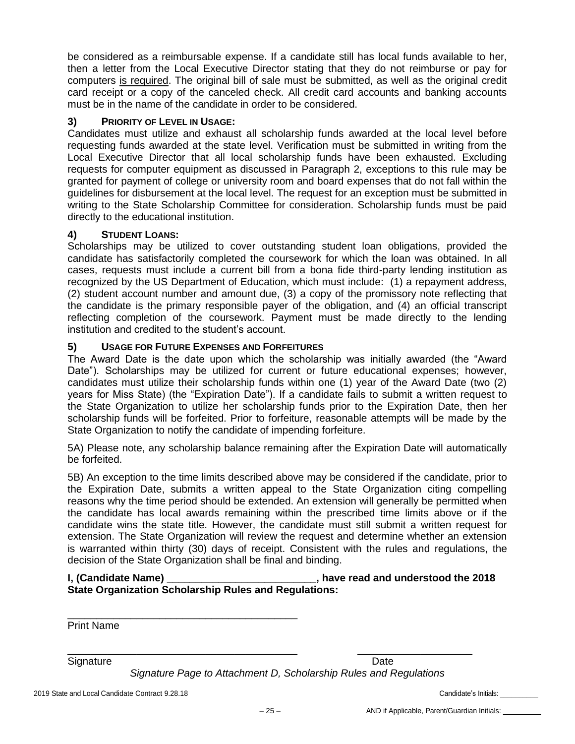be considered as a reimbursable expense. If a candidate still has local funds available to her, then a letter from the Local Executive Director stating that they do not reimburse or pay for computers is required. The original bill of sale must be submitted, as well as the original credit card receipt or a copy of the canceled check. All credit card accounts and banking accounts must be in the name of the candidate in order to be considered.

## **3) PRIORITY OF LEVEL IN USAGE:**

Candidates must utilize and exhaust all scholarship funds awarded at the local level before requesting funds awarded at the state level. Verification must be submitted in writing from the Local Executive Director that all local scholarship funds have been exhausted. Excluding requests for computer equipment as discussed in Paragraph 2, exceptions to this rule may be granted for payment of college or university room and board expenses that do not fall within the guidelines for disbursement at the local level. The request for an exception must be submitted in writing to the State Scholarship Committee for consideration. Scholarship funds must be paid directly to the educational institution.

## **4) STUDENT LOANS:**

Scholarships may be utilized to cover outstanding student loan obligations, provided the candidate has satisfactorily completed the coursework for which the loan was obtained. In all cases, requests must include a current bill from a bona fide third-party lending institution as recognized by the US Department of Education, which must include: (1) a repayment address, (2) student account number and amount due, (3) a copy of the promissory note reflecting that the candidate is the primary responsible payer of the obligation, and (4) an official transcript reflecting completion of the coursework. Payment must be made directly to the lending institution and credited to the student's account.

## **5) USAGE FOR FUTURE EXPENSES AND FORFEITURES**

\_\_\_\_\_\_\_\_\_\_\_\_\_\_\_\_\_\_\_\_\_\_\_\_\_\_\_\_\_\_\_\_\_\_\_\_\_\_\_\_

The Award Date is the date upon which the scholarship was initially awarded (the "Award Date"). Scholarships may be utilized for current or future educational expenses; however, candidates must utilize their scholarship funds within one (1) year of the Award Date (two (2) years for Miss State) (the "Expiration Date"). If a candidate fails to submit a written request to the State Organization to utilize her scholarship funds prior to the Expiration Date, then her scholarship funds will be forfeited. Prior to forfeiture, reasonable attempts will be made by the State Organization to notify the candidate of impending forfeiture.

5A) Please note, any scholarship balance remaining after the Expiration Date will automatically be forfeited.

5B) An exception to the time limits described above may be considered if the candidate, prior to the Expiration Date, submits a written appeal to the State Organization citing compelling reasons why the time period should be extended. An extension will generally be permitted when the candidate has local awards remaining within the prescribed time limits above or if the candidate wins the state title. However, the candidate must still submit a written request for extension. The State Organization will review the request and determine whether an extension is warranted within thirty (30) days of receipt. Consistent with the rules and regulations, the decision of the State Organization shall be final and binding.

| I, (Candidate Name) | , have read and understood the 2018                          |
|---------------------|--------------------------------------------------------------|
|                     | <b>State Organization Scholarship Rules and Regulations:</b> |

Print Name

Signature Date **Date** 

*Signature Page to Attachment D, Scholarship Rules and Regulations*

\_\_\_\_\_\_\_\_\_\_\_\_\_\_\_\_\_\_\_\_\_\_\_\_\_\_\_\_\_\_\_\_\_\_\_\_\_\_\_\_ \_\_\_\_\_\_\_\_\_\_\_\_\_\_\_\_\_\_\_\_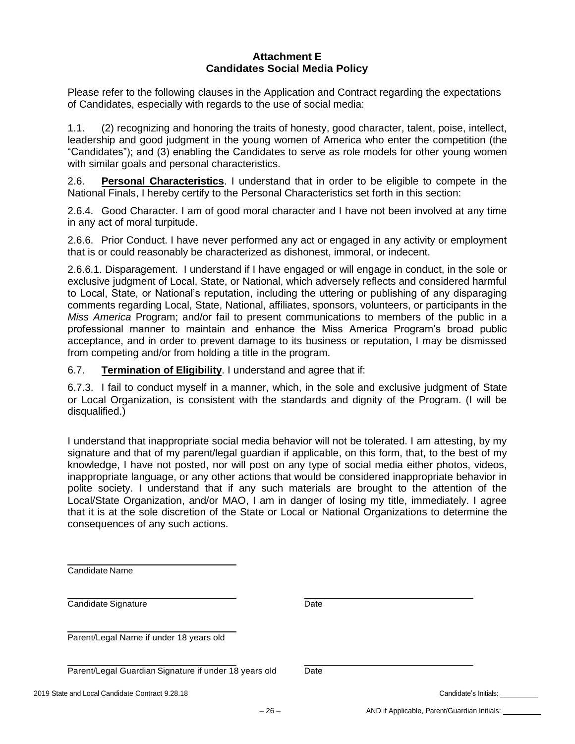#### **Attachment E Candidates Social Media Policy**

Please refer to the following clauses in the Application and Contract regarding the expectations of Candidates, especially with regards to the use of social media:

1.1. (2) recognizing and honoring the traits of honesty, good character, talent, poise, intellect, leadership and good judgment in the young women of America who enter the competition (the "Candidates"); and (3) enabling the Candidates to serve as role models for other young women with similar goals and personal characteristics.

2.6. **Personal Characteristics**. I understand that in order to be eligible to compete in the National Finals, I hereby certify to the Personal Characteristics set forth in this section:

2.6.4. Good Character. I am of good moral character and I have not been involved at any time in any act of moral turpitude.

2.6.6. Prior Conduct. I have never performed any act or engaged in any activity or employment that is or could reasonably be characterized as dishonest, immoral, or indecent.

2.6.6.1. Disparagement. I understand if I have engaged or will engage in conduct, in the sole or exclusive judgment of Local, State, or National, which adversely reflects and considered harmful to Local, State, or National's reputation, including the uttering or publishing of any disparaging comments regarding Local, State, National, affiliates, sponsors, volunteers, or participants in the *Miss America* Program; and/or fail to present communications to members of the public in a professional manner to maintain and enhance the Miss America Program's broad public acceptance, and in order to prevent damage to its business or reputation, I may be dismissed from competing and/or from holding a title in the program.

6.7. **Termination of Eligibility**. I understand and agree that if:

6.7.3. I fail to conduct myself in a manner, which, in the sole and exclusive judgment of State or Local Organization, is consistent with the standards and dignity of the Program. (I will be disqualified.)

I understand that inappropriate social media behavior will not be tolerated. I am attesting, by my signature and that of my parent/legal guardian if applicable, on this form, that, to the best of my knowledge, I have not posted, nor will post on any type of social media either photos, videos, inappropriate language, or any other actions that would be considered inappropriate behavior in polite society. I understand that if any such materials are brought to the attention of the Local/State Organization, and/or MAO, I am in danger of losing my title, immediately. I agree that it is at the sole discretion of the State or Local or National Organizations to determine the consequences of any such actions.

| Candidate Name                                        |      |                                              |
|-------------------------------------------------------|------|----------------------------------------------|
| Candidate Signature                                   | Date |                                              |
| Parent/Legal Name if under 18 years old               |      |                                              |
| Parent/Legal Guardian Signature if under 18 years old | Date |                                              |
| 2019 State and Local Candidate Contract 9.28.18       |      | Candidate's Initials:                        |
|                                                       |      | AND if Applicable, Parent/Guardian Initials: |